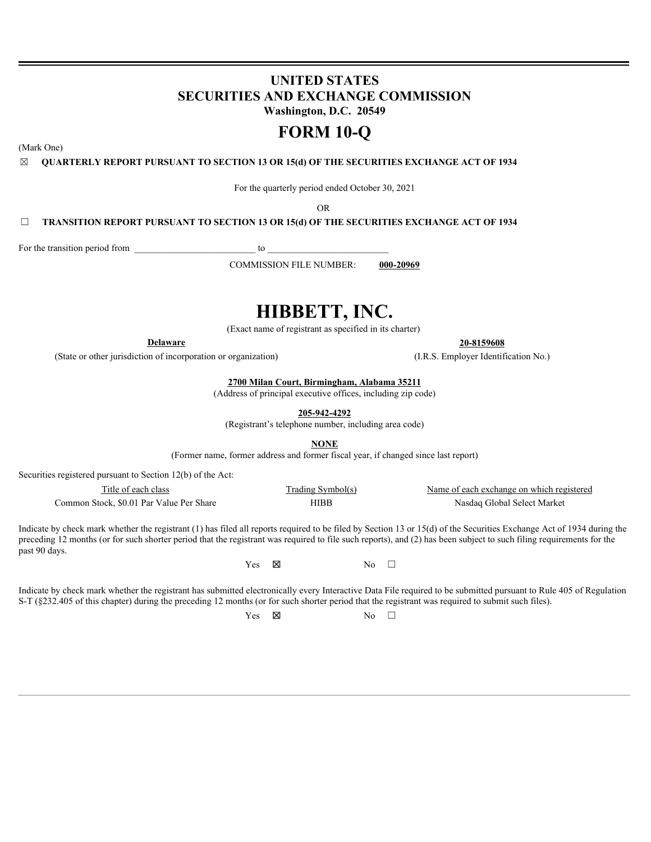# **UNITED STATES SECURITIES AND EXCHANGE COMMISSION Washington, D.C. 20549**

# **FORM 10-Q**

(Mark One)

☒ **QUARTERLY REPORT PURSUANT TO SECTION 13 OR 15(d) OF THE SECURITIES EXCHANGE ACT OF 1934**

For the quarterly period ended October 30, 2021

OR

☐ **TRANSITION REPORT PURSUANT TO SECTION 13 OR 15(d) OF THE SECURITIES EXCHANGE ACT OF 1934**

For the transition period from to  $\sim$ 

COMMISSION FILE NUMBER: **000-20969**

# **HIBBETT, INC.**

(Exact name of registrant as specified in its charter)

**Delaware 20-8159608**

(State or other jurisdiction of incorporation or organization) (I.R.S. Employer Identification No.)

**2700 Milan Court, Birmingham, Alabama 35211**

(Address of principal executive offices, including zip code)

**205-942-4292**

(Registrant's telephone number, including area code)

**NONE**

(Former name, former address and former fiscal year, if changed since last report)

Securities registered pursuant to Section 12(b) of the Act:

|  | Title of each.<br>∟class                 | * Symbol(s.<br>rading S | Name of each exchange on which registered |
|--|------------------------------------------|-------------------------|-------------------------------------------|
|  | Common Stock, \$0.01 Par Value Per Share | HIBB                    | Nasdag Global Select Market               |

Indicate by check mark whether the registrant (1) has filed all reports required to be filed by Section 13 or 15(d) of the Securities Exchange Act of 1934 during the preceding 12 months (or for such shorter period that the registrant was required to file such reports), and (2) has been subject to such filing requirements for the past 90 days.

 $\mathsf{Yes} \quad \blacksquare$  No  $\Box$ 

Indicate by check mark whether the registrant has submitted electronically every Interactive Data File required to be submitted pursuant to Rule 405 of Regulation S-T (§232.405 of this chapter) during the preceding 12 months (or for such shorter period that the registrant was required to submit such files).

 $\mathsf{Yes} \quad \blacksquare$  No  $\Box$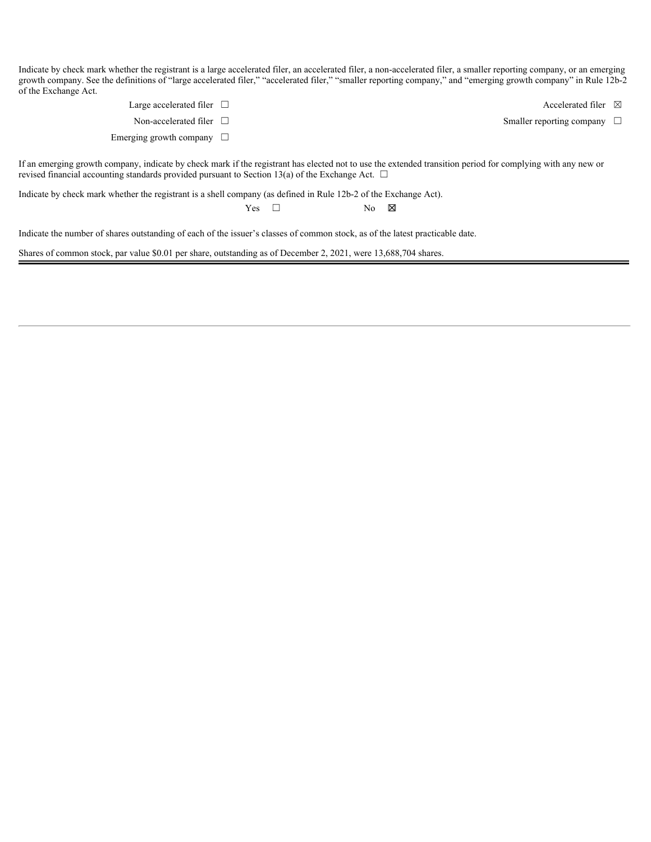Indicate by check mark whether the registrant is a large accelerated filer, an accelerated filer, a non-accelerated filer, a smaller reporting company, or an emerging growth company. See the definitions of "large accelerated filer," "accelerated filer," "smaller reporting company," and "emerging growth company" in Rule 12b-2 of the Exchange Act.

| $\cdots$                | Accelerated filer |
|-------------------------|-------------------|
| Large accelerated filer | ╭                 |
|                         |                   |

Non-accelerated filer <del>□</del> smaller reporting company □

Emerging growth company  $\Box$ 

If an emerging growth company, indicate by check mark if the registrant has elected not to use the extended transition period for complying with any new or revised financial accounting standards provided pursuant to Section 13(a) of the Exchange Act.  $\Box$ 

Indicate by check mark whether the registrant is a shell company (as defined in Rule 12b-2 of the Exchange Act).

 $\Gamma$  No  $\boxtimes$  No  $\boxtimes$ 

Indicate the number of shares outstanding of each of the issuer's classes of common stock, as of the latest practicable date.

<span id="page-1-0"></span>Shares of common stock, par value \$0.01 per share, outstanding as of December 2, 2021, were 13,688,704 shares.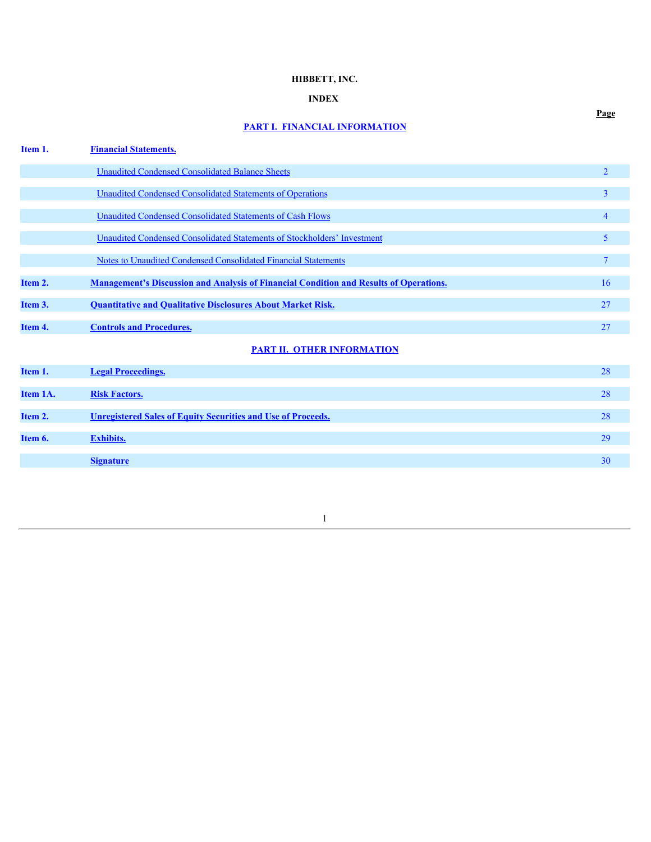# **HIBBETT, INC.**

## **INDEX**

# **[PART I. FINANCIAL INFORMATION](#page-2-0)**

**Page**

| Item 1. | <b>Financial Statements.</b>                                                                  |                 |
|---------|-----------------------------------------------------------------------------------------------|-----------------|
|         | <b>Unaudited Condensed Consolidated Balance Sheets</b>                                        | $\overline{2}$  |
|         | <b>Unaudited Condensed Consolidated Statements of Operations</b>                              | $\mathbf{3}$    |
|         | Unaudited Condensed Consolidated Statements of Cash Flows                                     | $\overline{4}$  |
|         | Unaudited Condensed Consolidated Statements of Stockholders' Investment                       | $\overline{5}$  |
|         | <b>Notes to Unaudited Condensed Consolidated Financial Statements</b>                         | $7\phantom{.0}$ |
| Item 2. | <b>Management's Discussion and Analysis of Financial Condition and Results of Operations.</b> | 16              |
| Item 3. | <b>Quantitative and Qualitative Disclosures About Market Risk.</b>                            | 27              |
| Item 4. | <b>Controls and Procedures.</b>                                                               | 27              |
|         | <b>PART II. OTHER INFORMATION</b>                                                             |                 |
| Item 1. | <b>Legal Proceedings.</b>                                                                     | 28              |
|         |                                                                                               |                 |

<span id="page-2-0"></span>

| 100HH 10 | $Logain 110000000$                                                  | $\sim$ $\sim$ |
|----------|---------------------------------------------------------------------|---------------|
|          |                                                                     |               |
| Item 1A. | <b>Risk Factors.</b>                                                | 28            |
|          |                                                                     |               |
| Item 2.  | <b>Unregistered Sales of Equity Securities and Use of Proceeds.</b> | 28            |
|          |                                                                     |               |
| Item 6.  | <b>Exhibits.</b>                                                    | 29            |
|          |                                                                     |               |
|          | <b>Signature</b>                                                    | 30            |
|          |                                                                     |               |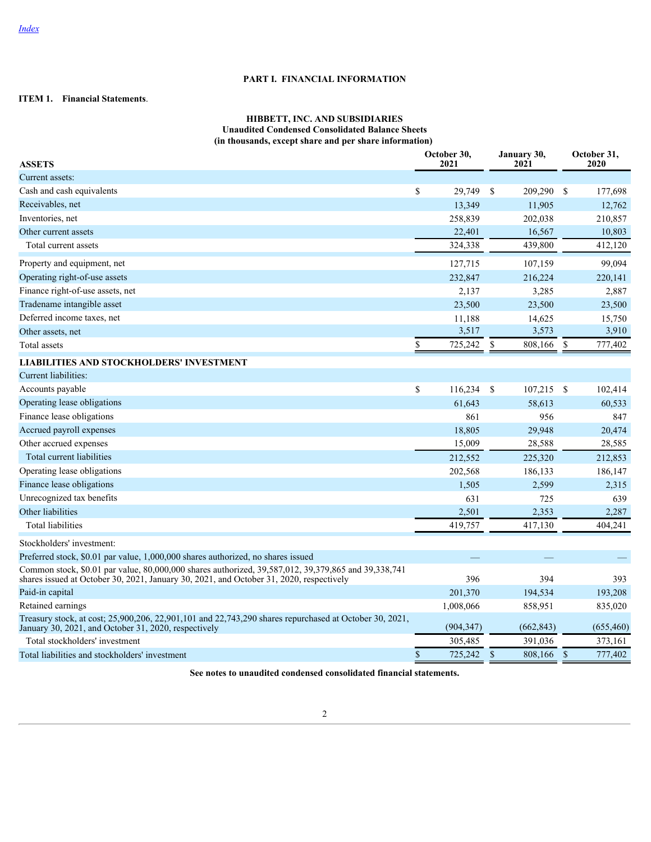## **PART I. FINANCIAL INFORMATION**

# <span id="page-3-1"></span><span id="page-3-0"></span>**ITEM 1. Financial Statements**.

## **HIBBETT, INC. AND SUBSIDIARIES Unaudited Condensed Consolidated Balance Sheets (in thousands, except share and per share information)**

| <b>ASSETS</b>                                                                                                                                                                                  |              | October 30,<br>2021 |               | January 30,<br>2021 |              | October 31,<br>2020 |  |
|------------------------------------------------------------------------------------------------------------------------------------------------------------------------------------------------|--------------|---------------------|---------------|---------------------|--------------|---------------------|--|
| Current assets:                                                                                                                                                                                |              |                     |               |                     |              |                     |  |
| Cash and cash equivalents                                                                                                                                                                      | $\mathbb S$  | 29,749 \$           |               | 209,290 \$          |              | 177,698             |  |
| Receivables, net                                                                                                                                                                               |              | 13,349              |               | 11,905              |              | 12,762              |  |
| Inventories, net                                                                                                                                                                               |              | 258,839             |               | 202,038             |              | 210,857             |  |
| Other current assets                                                                                                                                                                           |              | 22,401              |               | 16,567              |              | 10,803              |  |
| Total current assets                                                                                                                                                                           |              | 324,338             |               | 439,800             |              | 412,120             |  |
| Property and equipment, net                                                                                                                                                                    |              | 127,715             |               | 107,159             |              | 99,094              |  |
| Operating right-of-use assets                                                                                                                                                                  |              | 232,847             |               | 216,224             |              | 220,141             |  |
| Finance right-of-use assets, net                                                                                                                                                               |              | 2,137               |               | 3,285               |              | 2,887               |  |
| Tradename intangible asset                                                                                                                                                                     |              | 23,500              |               | 23,500              |              | 23,500              |  |
| Deferred income taxes, net                                                                                                                                                                     |              | 11,188              |               | 14,625              |              | 15,750              |  |
| Other assets, net                                                                                                                                                                              |              | 3,517               |               | 3,573               |              | 3,910               |  |
| Total assets                                                                                                                                                                                   |              | 725,242             | \$            | 808,166             | \$           | 777,402             |  |
| LIABILITIES AND STOCKHOLDERS' INVESTMENT                                                                                                                                                       |              |                     |               |                     |              |                     |  |
| Current liabilities:                                                                                                                                                                           |              |                     |               |                     |              |                     |  |
| Accounts payable                                                                                                                                                                               | \$           | $116,234$ \$        |               | $107,215$ \$        |              | 102,414             |  |
| Operating lease obligations                                                                                                                                                                    |              | 61,643              |               | 58,613              |              | 60,533              |  |
| Finance lease obligations                                                                                                                                                                      |              | 861                 |               | 956                 |              | 847                 |  |
| Accrued payroll expenses                                                                                                                                                                       |              | 18,805              |               | 29,948              |              | 20,474              |  |
| Other accrued expenses                                                                                                                                                                         |              | 15,009              |               | 28,588              |              | 28,585              |  |
| Total current liabilities                                                                                                                                                                      |              | 212,552             |               | 225,320             |              | 212,853             |  |
| Operating lease obligations                                                                                                                                                                    |              | 202,568             |               | 186,133             |              | 186,147             |  |
| Finance lease obligations                                                                                                                                                                      |              | 1,505               |               | 2,599               |              | 2,315               |  |
| Unrecognized tax benefits                                                                                                                                                                      |              | 631                 |               | 725                 |              | 639                 |  |
| Other liabilities                                                                                                                                                                              |              | 2,501               |               | 2,353               |              | 2,287               |  |
| <b>Total liabilities</b>                                                                                                                                                                       |              | 419,757             |               | 417,130             |              | 404,241             |  |
| Stockholders' investment:                                                                                                                                                                      |              |                     |               |                     |              |                     |  |
| Preferred stock, \$0.01 par value, 1,000,000 shares authorized, no shares issued                                                                                                               |              |                     |               |                     |              |                     |  |
| Common stock, \$0.01 par value, 80,000,000 shares authorized, 39,587,012, 39,379,865 and 39,338,741<br>shares issued at October 30, 2021, January 30, 2021, and October 31, 2020, respectively |              | 396                 |               | 394                 |              | 393                 |  |
| Paid-in capital                                                                                                                                                                                |              | 201,370             |               | 194,534             |              | 193,208             |  |
| Retained earnings                                                                                                                                                                              |              | 1,008,066           |               | 858,951             |              | 835,020             |  |
| Treasury stock, at cost; 25,900,206, 22,901,101 and 22,743,290 shares repurchased at October 30, 2021,<br>January 30, 2021, and October 31, 2020, respectively                                 |              | (904, 347)          |               | (662, 843)          |              | (655, 460)          |  |
| Total stockholders' investment                                                                                                                                                                 |              | 305,485             |               | 391,036             |              | 373,161             |  |
| Total liabilities and stockholders' investment                                                                                                                                                 | $\mathbb{S}$ | 725,242             | $\mathcal{S}$ | 808,166             | $\mathbf{s}$ | 777,402             |  |
|                                                                                                                                                                                                |              |                     |               |                     |              |                     |  |

<span id="page-3-2"></span>**See notes to unaudited condensed consolidated financial statements.**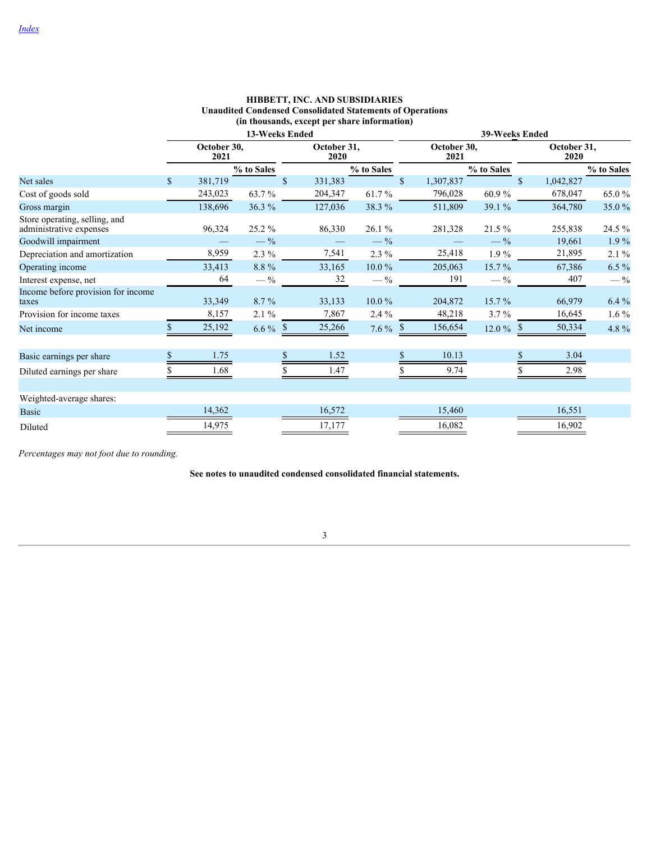|                                                          |     |                     | 13-Weeks Ended |                          |                    | 39-Weeks Ended      |             |                     |            |  |  |
|----------------------------------------------------------|-----|---------------------|----------------|--------------------------|--------------------|---------------------|-------------|---------------------|------------|--|--|
|                                                          |     | October 30,<br>2021 |                | October 31,<br>2020      |                    | October 30,<br>2021 |             | October 31,<br>2020 |            |  |  |
|                                                          |     |                     | % to Sales     |                          | % to Sales         |                     | % to Sales  |                     | % to Sales |  |  |
| Net sales                                                | \$. | 381,719             |                | 331,383                  | $\mathbf{\hat{S}}$ | 1,307,837           |             | 1,042,827           |            |  |  |
| Cost of goods sold                                       |     | 243,023             | 63.7%          | 204,347                  | $61.7\%$           | 796,028             | 60.9%       | 678,047             | 65.0%      |  |  |
| Gross margin                                             |     | 138,696             | 36.3 %         | 127,036                  | 38.3 %             | 511,809             | 39.1 %      | 364,780             | 35.0%      |  |  |
| Store operating, selling, and<br>administrative expenses |     | 96,324              | 25.2 %         | 86,330                   | $26.1\%$           | 281,328             | 21.5 %      | 255,838             | 24.5 %     |  |  |
| Goodwill impairment                                      |     |                     | $-$ %          | $\overline{\phantom{m}}$ | $-$ %              |                     | $-$ %       | 19,661              | 1.9%       |  |  |
| Depreciation and amortization                            |     | 8,959               | $2.3\%$        | 7,541                    | $2.3\%$            | 25,418              | 1.9%        | 21,895              | $2.1 \%$   |  |  |
| Operating income                                         |     | 33,413              | 8.8%           | 33,165                   | $10.0 \%$          | 205,063             | 15.7%       | 67,386              | 6.5 %      |  |  |
| Interest expense, net                                    |     | 64                  | $-$ %          | 32                       | $-$ %              | 191                 | $-$ %       | 407                 | $-$ %      |  |  |
| Income before provision for income<br>taxes              |     | 33,349              | 8.7%           | 33,133                   | $10.0 \%$          | 204,872             | 15.7%       | 66,979              | $6.4\%$    |  |  |
| Provision for income taxes                               |     | 8,157               | $2.1\%$        | 7,867                    | $2.4\%$            | 48,218              | $3.7\%$     | 16,645              | $1.6\%$    |  |  |
| Net income                                               |     | 25,192              | $6.6\%$ \$     | 25,266                   | $7.6\%$ \$         | 156,654             | $12.0\%$ \$ | 50,334              | 4.8%       |  |  |
| Basic earnings per share                                 |     | 1.75                |                | 1.52                     |                    | 10.13               |             | 3.04                |            |  |  |
| Diluted earnings per share                               |     | 1.68                |                | 1.47                     |                    | 9.74                |             | 2.98                |            |  |  |
| Weighted-average shares:                                 |     |                     |                |                          |                    |                     |             |                     |            |  |  |
| Basic                                                    |     | 14,362              |                | 16,572                   |                    | 15,460              |             | 16,551              |            |  |  |
| Diluted                                                  |     | 14,975              |                | 17,177                   |                    | 16,082              |             | 16,902              |            |  |  |

## **HIBBETT, INC. AND SUBSIDIARIES Unaudited Condensed Consolidated Statements of Operations (in thousands, except per share information)**

<span id="page-4-0"></span>*Percentages may not foot due to rounding.*

**See notes to unaudited condensed consolidated financial statements.**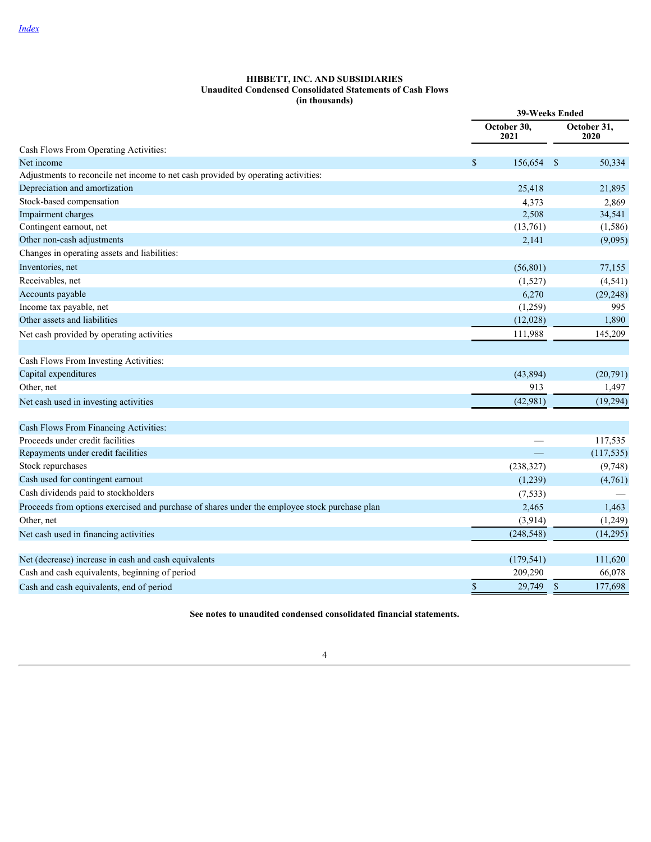|                                                                                               | 39-Weeks Ended |                     |                     |  |
|-----------------------------------------------------------------------------------------------|----------------|---------------------|---------------------|--|
|                                                                                               |                | October 30,<br>2021 | October 31,<br>2020 |  |
| Cash Flows From Operating Activities:                                                         |                |                     |                     |  |
| Net income                                                                                    | $\mathbb{S}$   | 156,654 \$          | 50,334              |  |
| Adjustments to reconcile net income to net cash provided by operating activities:             |                |                     |                     |  |
| Depreciation and amortization                                                                 |                | 25,418              | 21,895              |  |
| Stock-based compensation                                                                      |                | 4,373               | 2,869               |  |
| Impairment charges                                                                            |                | 2,508               | 34,541              |  |
| Contingent earnout, net                                                                       |                | (13,761)            | (1, 586)            |  |
| Other non-cash adjustments                                                                    |                | 2,141               | (9,095)             |  |
| Changes in operating assets and liabilities:                                                  |                |                     |                     |  |
| Inventories, net                                                                              |                | (56, 801)           | 77,155              |  |
| Receivables, net                                                                              |                | (1,527)             | (4, 541)            |  |
| Accounts payable                                                                              |                | 6,270               | (29, 248)           |  |
| Income tax payable, net                                                                       |                | (1,259)             | 995                 |  |
| Other assets and liabilities                                                                  |                | (12,028)            | 1,890               |  |
| Net cash provided by operating activities                                                     |                | 111,988             | 145,209             |  |
| Cash Flows From Investing Activities:                                                         |                |                     |                     |  |
| Capital expenditures                                                                          |                | (43, 894)           | (20, 791)           |  |
| Other, net                                                                                    |                | 913                 | 1,497               |  |
| Net cash used in investing activities                                                         |                | (42,981)            | (19, 294)           |  |
| Cash Flows From Financing Activities:                                                         |                |                     |                     |  |
| Proceeds under credit facilities                                                              |                |                     | 117,535             |  |
| Repayments under credit facilities                                                            |                |                     | (117, 535)          |  |
| Stock repurchases                                                                             |                | (238, 327)          | (9,748)             |  |
| Cash used for contingent earnout                                                              |                | (1,239)             | (4,761)             |  |
| Cash dividends paid to stockholders                                                           |                | (7, 533)            |                     |  |
| Proceeds from options exercised and purchase of shares under the employee stock purchase plan |                | 2,465               | 1,463               |  |
| Other, net                                                                                    |                | (3,914)             | (1,249)             |  |
| Net cash used in financing activities                                                         |                | (248, 548)          | (14,295)            |  |
| Net (decrease) increase in cash and cash equivalents                                          |                | (179, 541)          | 111,620             |  |
| Cash and cash equivalents, beginning of period                                                |                | 209,290             | 66,078              |  |
| Cash and cash equivalents, end of period                                                      | $\mathbb{S}$   | 29,749 \$           | 177,698             |  |
|                                                                                               |                |                     |                     |  |

<span id="page-5-0"></span>**See notes to unaudited condensed consolidated financial statements.**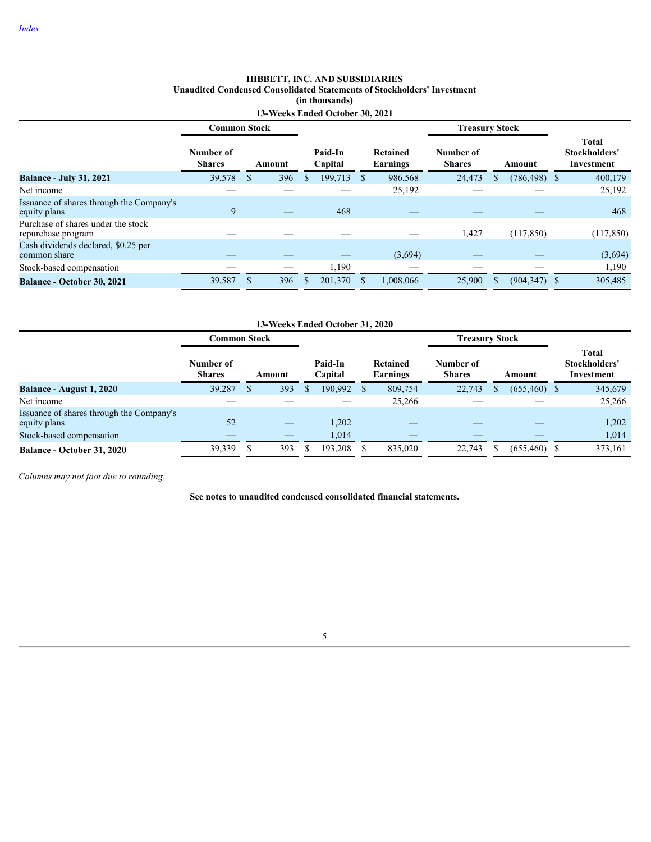## **HIBBETT, INC. AND SUBSIDIARIES Unaudited Condensed Consolidated Statements of Stockholders' Investment (in thousands)**

|                                                          |                            |                          | 13-Weeks Ended October 30, 2021 |                             |                            |                 |                                             |
|----------------------------------------------------------|----------------------------|--------------------------|---------------------------------|-----------------------------|----------------------------|-----------------|---------------------------------------------|
|                                                          | <b>Common Stock</b>        |                          |                                 |                             | <b>Treasury Stock</b>      |                 |                                             |
|                                                          | Number of<br><b>Shares</b> | Amount                   | Paid-In<br>Capital              | <b>Retained</b><br>Earnings | Number of<br><b>Shares</b> | Amount          | <b>Total</b><br>Stockholders'<br>Investment |
| <b>Balance - July 31, 2021</b>                           | 39,578                     | 396<br>$\mathbf{S}$      | 199,713                         | 986,568                     | 24,473                     | $(786, 498)$ \$ | 400,179                                     |
| Net income                                               |                            |                          |                                 | 25,192                      |                            |                 | 25,192                                      |
| Issuance of shares through the Company's<br>equity plans | 9                          | $\overline{\phantom{a}}$ | 468                             |                             |                            |                 | 468                                         |
| Purchase of shares under the stock<br>repurchase program |                            |                          |                                 |                             | 1,427                      | (117, 850)      | (117, 850)                                  |
| Cash dividends declared, \$0.25 per<br>common share      |                            |                          |                                 | (3,694)                     |                            |                 | (3,694)                                     |
| Stock-based compensation                                 |                            |                          | 1,190                           |                             |                            |                 | 1,190                                       |
| <b>Balance - October 30, 2021</b>                        | 39,587                     | 396                      | 201,370                         | 008,066.1                   | 25,900                     | $(904, 347)$ \$ | 305,485                                     |

|                                                          |                            |        |     |                    | 13-Weeks Ended October 31, 2020 |                      |                            |                 |  |                                      |  |
|----------------------------------------------------------|----------------------------|--------|-----|--------------------|---------------------------------|----------------------|----------------------------|-----------------|--|--------------------------------------|--|
|                                                          | <b>Common Stock</b>        |        |     |                    |                                 |                      | <b>Treasury Stock</b>      |                 |  |                                      |  |
|                                                          | Number of<br><b>Shares</b> | Amount |     | Paid-In<br>Capital |                                 | Retained<br>Earnings | Number of<br><b>Shares</b> | Amount          |  | Total<br>Stockholders'<br>Investment |  |
| <b>Balance - August 1, 2020</b>                          | 39,287                     | WУ.    | 393 |                    | 190.992                         | 809,754              | 22,743                     | $(655, 460)$ \$ |  | 345,679                              |  |
| Net income                                               |                            |        |     |                    |                                 | 25,266               |                            |                 |  | 25,266                               |  |
| Issuance of shares through the Company's<br>equity plans | 52                         |        |     |                    | 1,202                           |                      |                            |                 |  | 1,202                                |  |
| Stock-based compensation                                 |                            |        |     |                    | 1,014                           |                      |                            |                 |  | 1,014                                |  |
| <b>Balance - October 31, 2020</b>                        | 39,339                     |        | 393 |                    | 193,208                         | 835,020              | 22,743                     | (655, 460)      |  | 373,161                              |  |
|                                                          |                            |        |     |                    |                                 |                      |                            |                 |  |                                      |  |

*Columns may not foot due to rounding.*

**See notes to unaudited condensed consolidated financial statements.**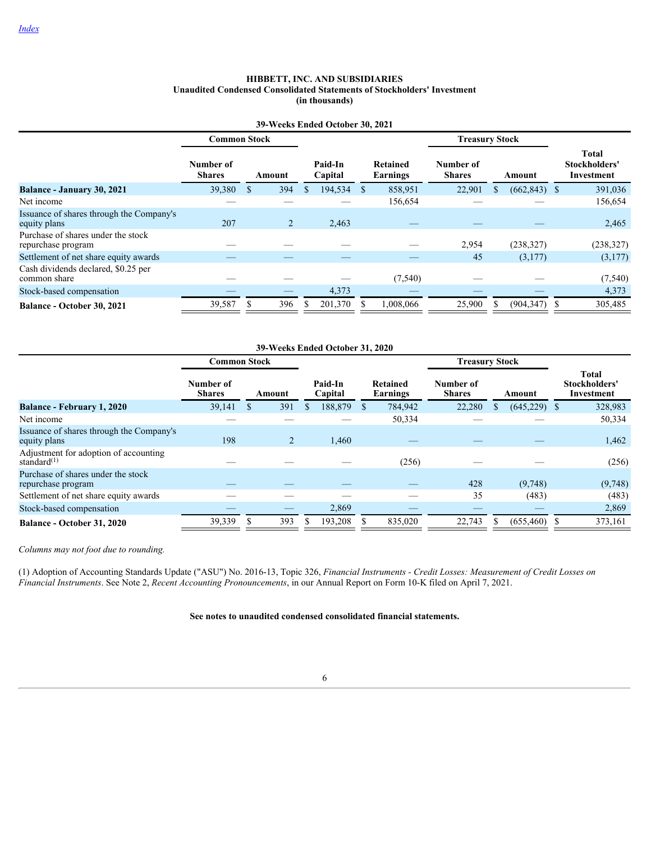## **HIBBETT, INC. AND SUBSIDIARIES Unaudited Condensed Consolidated Statements of Stockholders' Investment (in thousands)**

|                                                          |                            |        | 39-Weeks Ended October 30, 2021 |                             |                            |   |                |                                             |
|----------------------------------------------------------|----------------------------|--------|---------------------------------|-----------------------------|----------------------------|---|----------------|---------------------------------------------|
|                                                          | <b>Common Stock</b>        |        |                                 |                             | <b>Treasury Stock</b>      |   |                |                                             |
|                                                          | Number of<br><b>Shares</b> | Amount | Paid-In<br>Capital              | <b>Retained</b><br>Earnings | Number of<br><b>Shares</b> |   | Amount         | <b>Total</b><br>Stockholders'<br>Investment |
| <b>Balance - January 30, 2021</b>                        | 39,380 \$                  | 394    | 194,534                         | 858,951                     | 22,901                     | æ | $(662,843)$ \$ | 391,036                                     |
| Net income                                               |                            |        |                                 | 156,654                     |                            |   |                | 156,654                                     |
| Issuance of shares through the Company's<br>equity plans | 207                        |        | 2,463                           |                             |                            |   |                | 2,465                                       |
| Purchase of shares under the stock<br>repurchase program |                            |        |                                 |                             | 2,954                      |   | (238, 327)     | (238, 327)                                  |
| Settlement of net share equity awards                    |                            |        |                                 |                             | 45                         |   | (3,177)        | (3,177)                                     |
| Cash dividends declared, \$0.25 per<br>common share      |                            |        |                                 | (7,540)                     |                            |   |                | (7, 540)                                    |
| Stock-based compensation                                 |                            |        | 4,373                           |                             |                            |   |                | 4,373                                       |
| Balance - October 30, 2021                               | 39,587                     | 396    | 201,370                         | ,008,066                    | 25,900                     |   | (904, 347)     | 305,485                                     |
|                                                          |                            |        |                                 |                             |                            |   |                |                                             |

# **39-Weeks Ended October 30, 2021**

|                                                          |                            |              | 39-Weeks Ended October 31, 2020 |                                    |                            |                             |                                             |
|----------------------------------------------------------|----------------------------|--------------|---------------------------------|------------------------------------|----------------------------|-----------------------------|---------------------------------------------|
|                                                          |                            | Common Stock |                                 |                                    |                            | <b>Treasury Stock</b>       |                                             |
|                                                          | Number of<br><b>Shares</b> | Amount       | Paid-In<br>Capital              | <b>Retained</b><br><b>Earnings</b> | Number of<br><b>Shares</b> | Amount                      | Total<br><b>Stockholders'</b><br>Investment |
| <b>Balance - February 1, 2020</b>                        | 39,141                     | 391          | 188,879                         | 784,942<br>-8                      | 22,280                     | $(645,229)$ \$<br>J.        | 328,983                                     |
| Net income                                               |                            |              |                                 | 50,334                             |                            |                             | 50,334                                      |
| Issuance of shares through the Company's<br>equity plans | 198                        |              | 1,460                           |                                    |                            |                             | 1,462                                       |
| Adjustment for adoption of accounting<br>standard $(1)$  |                            |              |                                 | (256)                              |                            |                             | (256)                                       |
| Purchase of shares under the stock<br>repurchase program |                            |              |                                 | $-$                                | 428                        | (9,748)                     | (9,748)                                     |
| Settlement of net share equity awards                    |                            |              |                                 |                                    | 35                         | (483)                       | (483)                                       |
| Stock-based compensation                                 |                            |              | 2,869                           |                                    |                            |                             | 2,869                                       |
| <b>Balance - October 31, 2020</b>                        | 39,339                     | 393          | 193,208                         | 835,020                            | 22,743                     | <sup>\$</sup><br>(655, 460) | 373,161<br>- 75                             |

*Columns may not foot due to rounding.*

<span id="page-7-0"></span>(1) Adoption of Accounting Standards Update ("ASU") No. 2016-13, Topic 326, *Financial Instruments - Credit Losses: Measurement of Credit Losses on Financial Instruments*. See Note 2, *Recent Accounting Pronouncements*, in our Annual Report on Form 10-K filed on April 7, 2021.

**See notes to unaudited condensed consolidated financial statements.**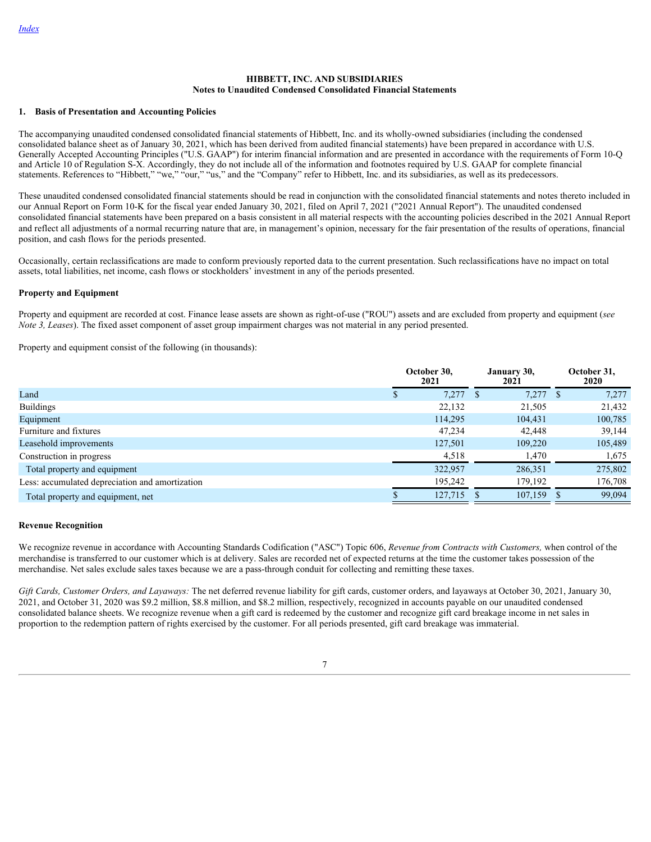## **HIBBETT, INC. AND SUBSIDIARIES Notes to Unaudited Condensed Consolidated Financial Statements**

## **1. Basis of Presentation and Accounting Policies**

The accompanying unaudited condensed consolidated financial statements of Hibbett, Inc. and its wholly-owned subsidiaries (including the condensed consolidated balance sheet as of January 30, 2021, which has been derived from audited financial statements) have been prepared in accordance with U.S. Generally Accepted Accounting Principles ("U.S. GAAP") for interim financial information and are presented in accordance with the requirements of Form 10-Q and Article 10 of Regulation S-X. Accordingly, they do not include all of the information and footnotes required by U.S. GAAP for complete financial statements. References to "Hibbett," "we," "our," "us," and the "Company" refer to Hibbett, Inc. and its subsidiaries, as well as its predecessors.

These unaudited condensed consolidated financial statements should be read in conjunction with the consolidated financial statements and notes thereto included in our Annual Report on Form 10-K for the fiscal year ended January 30, 2021, filed on April 7, 2021 ("2021 Annual Report"). The unaudited condensed consolidated financial statements have been prepared on a basis consistent in all material respects with the accounting policies described in the 2021 Annual Report and reflect all adjustments of a normal recurring nature that are, in management's opinion, necessary for the fair presentation of the results of operations, financial position, and cash flows for the periods presented.

Occasionally, certain reclassifications are made to conform previously reported data to the current presentation. Such reclassifications have no impact on total assets, total liabilities, net income, cash flows or stockholders' investment in any of the periods presented.

## **Property and Equipment**

Property and equipment are recorded at cost. Finance lease assets are shown as right-of-use ("ROU") assets and are excluded from property and equipment (*see Note 3, Leases*). The fixed asset component of asset group impairment charges was not material in any period presented.

Property and equipment consist of the following (in thousands):

|                                                 | October 30,<br>2021 |  | January 30,<br>2021 | October 31,<br><b>2020</b> |  |  |
|-------------------------------------------------|---------------------|--|---------------------|----------------------------|--|--|
| Land                                            | 7,277               |  | 7,277               | 7,277                      |  |  |
| <b>Buildings</b>                                | 22,132              |  | 21,505              | 21,432                     |  |  |
| Equipment                                       | 114,295             |  | 104,431             | 100,785                    |  |  |
| Furniture and fixtures                          | 47.234              |  | 42,448              | 39,144                     |  |  |
| Leasehold improvements                          | 127,501             |  | 109,220             | 105,489                    |  |  |
| Construction in progress                        | 4,518               |  | 1,470               | 1,675                      |  |  |
| Total property and equipment                    | 322,957             |  | 286,351             | 275,802                    |  |  |
| Less: accumulated depreciation and amortization | 195,242             |  | 179,192             | 176,708                    |  |  |
| Total property and equipment, net               | 127,715             |  | $107,159$ \$        | 99,094                     |  |  |
|                                                 |                     |  |                     |                            |  |  |

## **Revenue Recognition**

We recognize revenue in accordance with Accounting Standards Codification ("ASC") Topic 606, *Revenue from Contracts with Customers,* when control of the merchandise is transferred to our customer which is at delivery. Sales are recorded net of expected returns at the time the customer takes possession of the merchandise. Net sales exclude sales taxes because we are a pass-through conduit for collecting and remitting these taxes.

*Gift Cards, Customer Orders, and Layaways:* The net deferred revenue liability for gift cards, customer orders, and layaways at October 30, 2021, January 30, 2021, and October 31, 2020 was \$9.2 million, \$8.8 million, and \$8.2 million, respectively, recognized in accounts payable on our unaudited condensed consolidated balance sheets. We recognize revenue when a gift card is redeemed by the customer and recognize gift card breakage income in net sales in proportion to the redemption pattern of rights exercised by the customer. For all periods presented, gift card breakage was immaterial.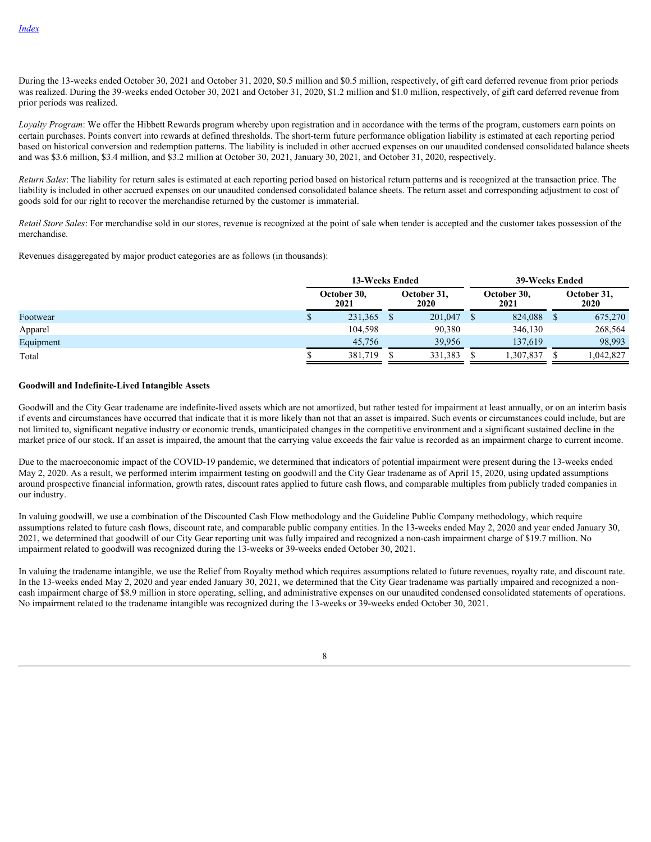During the 13-weeks ended October 30, 2021 and October 31, 2020, \$0.5 million and \$0.5 million, respectively, of gift card deferred revenue from prior periods was realized. During the 39-weeks ended October 30, 2021 and October 31, 2020, \$1.2 million and \$1.0 million, respectively, of gift card deferred revenue from prior periods was realized.

*Loyalty Program*: We offer the Hibbett Rewards program whereby upon registration and in accordance with the terms of the program, customers earn points on certain purchases. Points convert into rewards at defined thresholds. The short-term future performance obligation liability is estimated at each reporting period based on historical conversion and redemption patterns. The liability is included in other accrued expenses on our unaudited condensed consolidated balance sheets and was \$3.6 million, \$3.4 million, and \$3.2 million at October 30, 2021, January 30, 2021, and October 31, 2020, respectively.

*Return Sales*: The liability for return sales is estimated at each reporting period based on historical return patterns and is recognized at the transaction price. The liability is included in other accrued expenses on our unaudited condensed consolidated balance sheets. The return asset and corresponding adjustment to cost of goods sold for our right to recover the merchandise returned by the customer is immaterial.

*Retail Store Sales*: For merchandise sold in our stores, revenue is recognized at the point of sale when tender is accepted and the customer takes possession of the merchandise.

Revenues disaggregated by major product categories are as follows (in thousands):

|           | 13-Weeks Ended      |                     | 39-Weeks Ended      |                     |
|-----------|---------------------|---------------------|---------------------|---------------------|
|           | October 30,<br>2021 | October 31,<br>2020 | October 30,<br>2021 | October 31,<br>2020 |
| Footwear  | 231,365             | 201,047             | 824,088             | 675,270             |
| Apparel   | 104,598             | 90,380              | 346,130             | 268,564             |
| Equipment | 45,756              | 39,956              | 137,619             | 98,993              |
| Total     | 381,719             | 331,383             | ,307,837            | 1,042,827           |

## **Goodwill and Indefinite-Lived Intangible Assets**

Goodwill and the City Gear tradename are indefinite-lived assets which are not amortized, but rather tested for impairment at least annually, or on an interim basis if events and circumstances have occurred that indicate that it is more likely than not that an asset is impaired. Such events or circumstances could include, but are not limited to, significant negative industry or economic trends, unanticipated changes in the competitive environment and a significant sustained decline in the market price of our stock. If an asset is impaired, the amount that the carrying value exceeds the fair value is recorded as an impairment charge to current income.

Due to the macroeconomic impact of the COVID-19 pandemic, we determined that indicators of potential impairment were present during the 13-weeks ended May 2, 2020. As a result, we performed interim impairment testing on goodwill and the City Gear tradename as of April 15, 2020, using updated assumptions around prospective financial information, growth rates, discount rates applied to future cash flows, and comparable multiples from publicly traded companies in our industry.

In valuing goodwill, we use a combination of the Discounted Cash Flow methodology and the Guideline Public Company methodology, which require assumptions related to future cash flows, discount rate, and comparable public company entities. In the 13-weeks ended May 2, 2020 and year ended January 30, 2021, we determined that goodwill of our City Gear reporting unit was fully impaired and recognized a non-cash impairment charge of \$19.7 million. No impairment related to goodwill was recognized during the 13-weeks or 39-weeks ended October 30, 2021.

In valuing the tradename intangible, we use the Relief from Royalty method which requires assumptions related to future revenues, royalty rate, and discount rate. In the 13-weeks ended May 2, 2020 and year ended January 30, 2021, we determined that the City Gear tradename was partially impaired and recognized a noncash impairment charge of \$8.9 million in store operating, selling, and administrative expenses on our unaudited condensed consolidated statements of operations. No impairment related to the tradename intangible was recognized during the 13-weeks or 39-weeks ended October 30, 2021.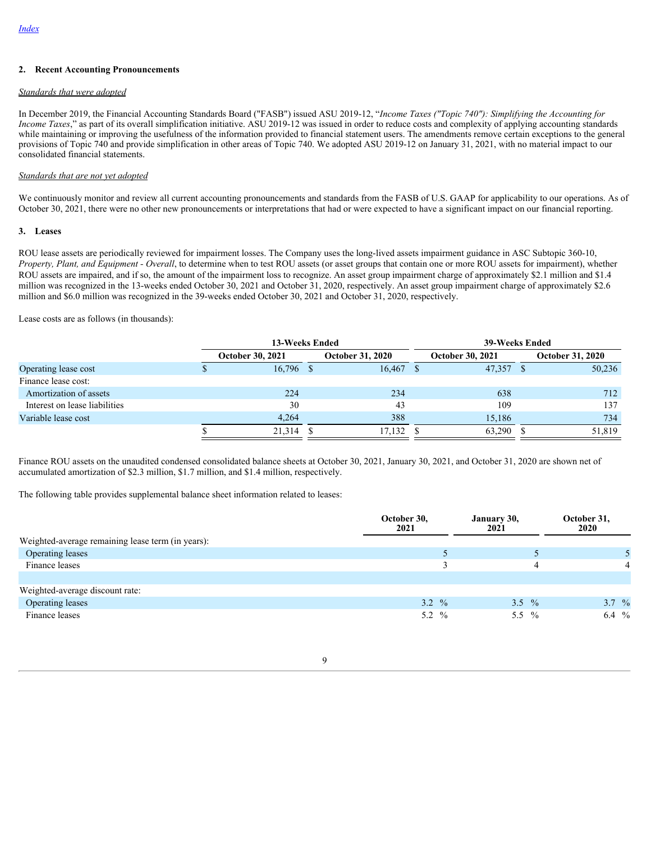## **2. Recent Accounting Pronouncements**

#### *Standards that were adopted*

In December 2019, the Financial Accounting Standards Board ("FASB") issued ASU 2019-12, "*Income Taxes ("Topic 740"): Simplifying the Accounting for Income Taxes*," as part of its overall simplification initiative. ASU 2019-12 was issued in order to reduce costs and complexity of applying accounting standards while maintaining or improving the usefulness of the information provided to financial statement users. The amendments remove certain exceptions to the general provisions of Topic 740 and provide simplification in other areas of Topic 740. We adopted ASU 2019-12 on January 31, 2021, with no material impact to our consolidated financial statements.

## *Standards that are not yet adopted*

We continuously monitor and review all current accounting pronouncements and standards from the FASB of U.S. GAAP for applicability to our operations. As of October 30, 2021, there were no other new pronouncements or interpretations that had or were expected to have a significant impact on our financial reporting.

#### **3. Leases**

ROU lease assets are periodically reviewed for impairment losses. The Company uses the long-lived assets impairment guidance in ASC Subtopic 360-10, *Property, Plant, and Equipment - Overall*, to determine when to test ROU assets (or asset groups that contain one or more ROU assets for impairment), whether ROU assets are impaired, and if so, the amount of the impairment loss to recognize. An asset group impairment charge of approximately \$2.1 million and \$1.4 million was recognized in the 13-weeks ended October 30, 2021 and October 31, 2020, respectively. An asset group impairment charge of approximately \$2.6 million and \$6.0 million was recognized in the 39-weeks ended October 30, 2021 and October 31, 2020, respectively.

Lease costs are as follows (in thousands):

|                               | 13-Weeks Ended          |                         | 39-Weeks Ended          |                         |
|-------------------------------|-------------------------|-------------------------|-------------------------|-------------------------|
|                               | <b>October 30, 2021</b> | <b>October 31, 2020</b> | <b>October 30, 2021</b> | <b>October 31, 2020</b> |
| Operating lease cost          | $16,796$ \$             | 16,467                  | 47,357                  | 50,236                  |
| Finance lease cost:           |                         |                         |                         |                         |
| Amortization of assets        | 224                     | 234                     | 638                     | 712                     |
| Interest on lease liabilities | 30                      | 43                      | 109                     | 137                     |
| Variable lease cost           | 4,264                   | 388                     | 15,186                  | 734                     |
|                               | 21,314                  | 17,132                  | 63,290                  | 51,819                  |
|                               |                         |                         |                         |                         |

Finance ROU assets on the unaudited condensed consolidated balance sheets at October 30, 2021, January 30, 2021, and October 31, 2020 are shown net of accumulated amortization of \$2.3 million, \$1.7 million, and \$1.4 million, respectively.

The following table provides supplemental balance sheet information related to leases:

|                                                   | October 30,<br>2021 | January 30,<br>2021 | October 31,<br>2020 |
|---------------------------------------------------|---------------------|---------------------|---------------------|
| Weighted-average remaining lease term (in years): |                     |                     |                     |
| Operating leases                                  |                     |                     |                     |
| Finance leases                                    |                     |                     |                     |
|                                                   |                     |                     |                     |
| Weighted-average discount rate:                   |                     |                     |                     |
| Operating leases                                  | $3.2 \frac{9}{6}$   | 3.5 $%$             | $3.7\frac{9}{6}$    |
| Finance leases                                    | 5.2 $%$             | 5.5 $%$             | 6.4 $%$             |
|                                                   |                     |                     |                     |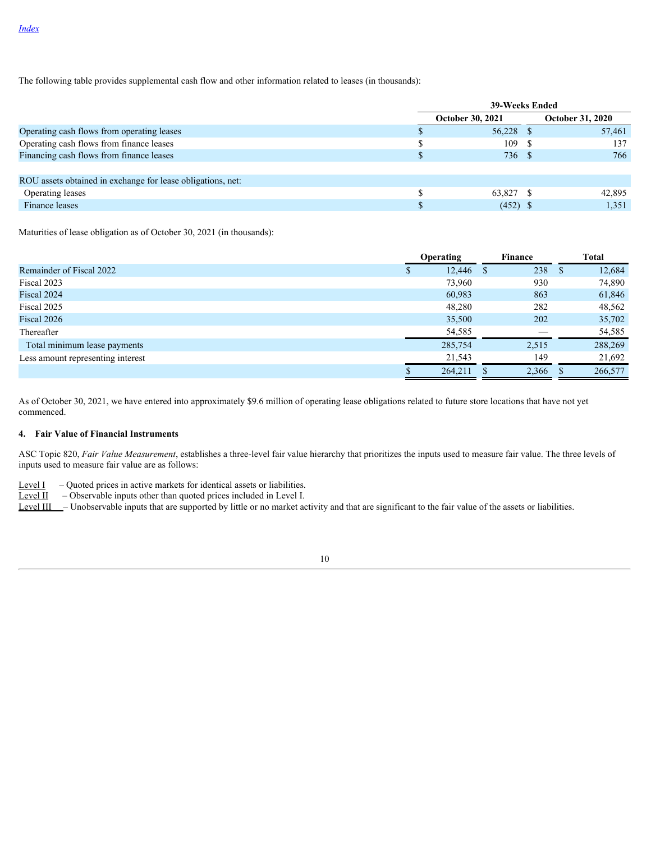The following table provides supplemental cash flow and other information related to leases (in thousands):

|                                                             | 39-Weeks Ended          |                         |
|-------------------------------------------------------------|-------------------------|-------------------------|
|                                                             | <b>October 30, 2021</b> | <b>October 31, 2020</b> |
| Operating cash flows from operating leases                  | 56,228 \$               | 57,461                  |
| Operating cash flows from finance leases                    | 109S                    | 137                     |
| Financing cash flows from finance leases                    | 736 \$                  | 766                     |
|                                                             |                         |                         |
| ROU assets obtained in exchange for lease obligations, net: |                         |                         |
| Operating leases                                            | 63,827 \$               | 42,895                  |
| Finance leases                                              | $(452)$ \$              | 1,351                   |
|                                                             |                         |                         |

Maturities of lease obligation as of October 30, 2021 (in thousands):

|                                   | <b>Operating</b> | Finance |              | Total   |
|-----------------------------------|------------------|---------|--------------|---------|
| Remainder of Fiscal 2022          | $12,446$ \$      | 238     | <sup>8</sup> | 12,684  |
| Fiscal 2023                       | 73,960           | 930     |              | 74,890  |
| Fiscal 2024                       | 60,983           | 863     |              | 61,846  |
| Fiscal 2025                       | 48,280           | 282     |              | 48,562  |
| Fiscal 2026                       | 35,500           | 202     |              | 35,702  |
| Thereafter                        | 54,585           |         |              | 54,585  |
| Total minimum lease payments      | 285,754          | 2,515   |              | 288,269 |
| Less amount representing interest | 21,543           | 149     |              | 21,692  |
|                                   | 264,211          | 2,366   |              | 266,577 |

As of October 30, 2021, we have entered into approximately \$9.6 million of operating lease obligations related to future store locations that have not yet commenced.

## **4. Fair Value of Financial Instruments**

ASC Topic 820, *Fair Value Measurement*, establishes a three-level fair value hierarchy that prioritizes the inputs used to measure fair value. The three levels of inputs used to measure fair value are as follows:

Level I – Quoted prices in active markets for identical assets or liabilities.

Level II  $\sim$  - Observable inputs other than quoted prices included in Level I.

Level III – Unobservable inputs that are supported by little or no market activity and that are significant to the fair value of the assets or liabilities.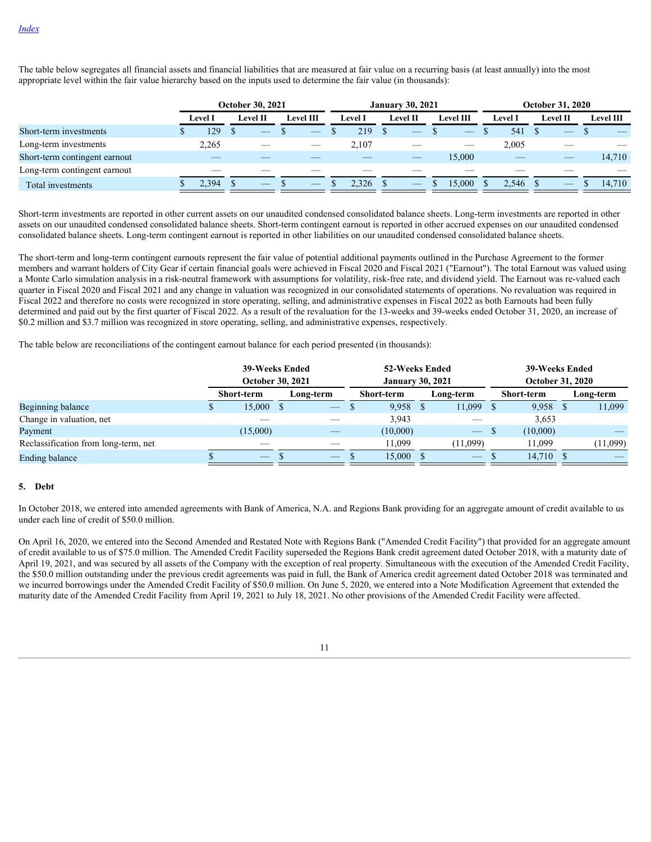The table below segregates all financial assets and financial liabilities that are measured at fair value on a recurring basis (at least annually) into the most appropriate level within the fair value hierarchy based on the inputs used to determine the fair value (in thousands):

|                               |                | <b>October 30, 2021</b>  |                  |                |     | <b>January 30, 2021</b>  |                                |                | <b>October 31, 2020</b> |                  |
|-------------------------------|----------------|--------------------------|------------------|----------------|-----|--------------------------|--------------------------------|----------------|-------------------------|------------------|
|                               | <b>Level I</b> | <b>Level II</b>          | <b>Level III</b> | <b>Level I</b> |     | <b>Level II</b>          | <b>Level III</b>               | <b>Level I</b> | <b>Level II</b>         | <b>Level III</b> |
| Short-term investments        | 129            | $-$                      |                  | 219            |     |                          | $\overbrace{\hspace{25mm}}^{}$ | 541            |                         |                  |
| Long-term investments         | 2,265          | __                       |                  | 2,107          |     |                          | $\overline{\phantom{m}}$       | 2,005          | __                      |                  |
| Short-term contingent earnout |                |                          |                  |                |     |                          | 15,000                         |                | –                       | 14,710           |
| Long-term contingent earnout  | —              | ___                      | ___              | ___            |     |                          |                                | __             | ___                     |                  |
| Total investments             | 2,394          | $\overline{\phantom{a}}$ |                  | 2,326          | - 1 | $\overline{\phantom{a}}$ | 15,000                         | 2,546          |                         | 14,710           |

Short-term investments are reported in other current assets on our unaudited condensed consolidated balance sheets. Long-term investments are reported in other assets on our unaudited condensed consolidated balance sheets. Short-term contingent earnout is reported in other accrued expenses on our unaudited condensed consolidated balance sheets. Long-term contingent earnout is reported in other liabilities on our unaudited condensed consolidated balance sheets.

The short-term and long-term contingent earnouts represent the fair value of potential additional payments outlined in the Purchase Agreement to the former members and warrant holders of City Gear if certain financial goals were achieved in Fiscal 2020 and Fiscal 2021 ("Earnout"). The total Earnout was valued using a Monte Carlo simulation analysis in a risk-neutral framework with assumptions for volatility, risk-free rate, and dividend yield. The Earnout was re-valued each quarter in Fiscal 2020 and Fiscal 2021 and any change in valuation was recognized in our consolidated statements of operations. No revaluation was required in Fiscal 2022 and therefore no costs were recognized in store operating, selling, and administrative expenses in Fiscal 2022 as both Earnouts had been fully determined and paid out by the first quarter of Fiscal 2022. As a result of the revaluation for the 13-weeks and 39-weeks ended October 31, 2020, an increase of \$0.2 million and \$3.7 million was recognized in store operating, selling, and administrative expenses, respectively.

The table below are reconciliations of the contingent earnout balance for each period presented (in thousands):

|                                      |            | <b>39-Weeks Ended</b><br><b>October 30, 2021</b> |                                 |                   |             | 52-Weeks Ended<br><b>January 30, 2021</b> | <b>39-Weeks Ended</b><br><b>October 31, 2020</b> |           |
|--------------------------------------|------------|--------------------------------------------------|---------------------------------|-------------------|-------------|-------------------------------------------|--------------------------------------------------|-----------|
|                                      | Short-term | Long-term                                        |                                 | <b>Short-term</b> |             | Long-term                                 | Short-term                                       | Long-term |
| Beginning balance                    | 15,000     |                                                  | $\overbrace{\phantom{aaaaa}}$   |                   |             | 11,099                                    | 9,958                                            | 11,099    |
| Change in valuation, net             |            |                                                  | $\hspace{0.05cm}$               |                   | 3,943       | $\hspace{0.1mm}-\hspace{0.1mm}$           | 3,653                                            |           |
| Payment                              | (15,000)   |                                                  | $\overbrace{\hspace{15em}}$     |                   | (10,000)    | $\overline{\phantom{m}}$                  | (10,000)                                         |           |
| Reclassification from long-term, net |            |                                                  | $\hspace{0.05cm}$               |                   | 11,099      | (11,099)                                  | 11,099                                           | (11,099)  |
| <b>Ending balance</b>                |            |                                                  | $\hspace{0.1mm}-\hspace{0.1mm}$ |                   | $15,000$ \$ | $\overline{\phantom{0}}$                  | 14,710                                           |           |
|                                      |            |                                                  |                                 |                   |             |                                           |                                                  |           |

## **5. Debt**

In October 2018, we entered into amended agreements with Bank of America, N.A. and Regions Bank providing for an aggregate amount of credit available to us under each line of credit of \$50.0 million.

On April 16, 2020, we entered into the Second Amended and Restated Note with Regions Bank ("Amended Credit Facility") that provided for an aggregate amount of credit available to us of \$75.0 million. The Amended Credit Facility superseded the Regions Bank credit agreement dated October 2018, with a maturity date of April 19, 2021, and was secured by all assets of the Company with the exception of real property. Simultaneous with the execution of the Amended Credit Facility, the \$50.0 million outstanding under the previous credit agreements was paid in full, the Bank of America credit agreement dated October 2018 was terminated and we incurred borrowings under the Amended Credit Facility of \$50.0 million. On June 5, 2020, we entered into a Note Modification Agreement that extended the maturity date of the Amended Credit Facility from April 19, 2021 to July 18, 2021. No other provisions of the Amended Credit Facility were affected.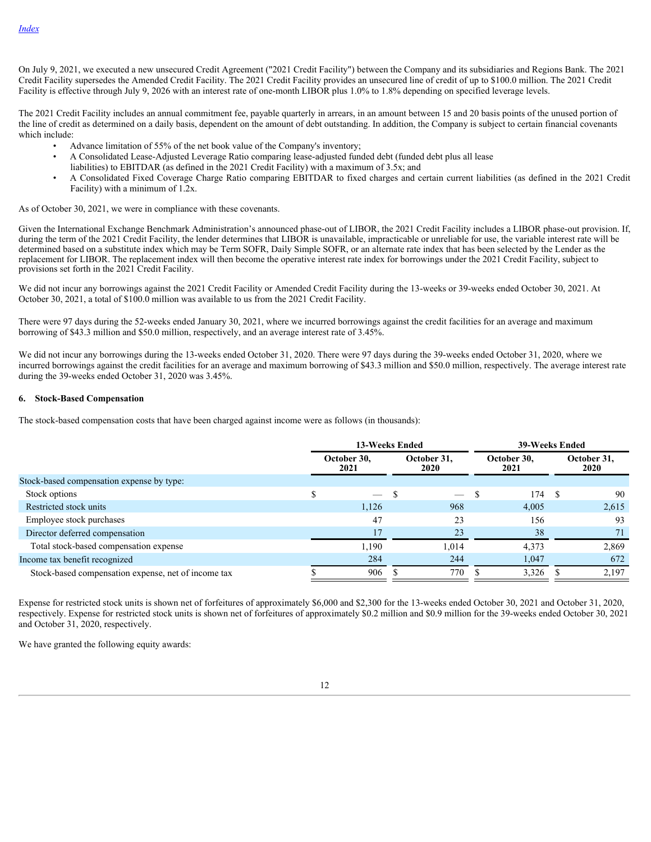On July 9, 2021, we executed a new unsecured Credit Agreement ("2021 Credit Facility") between the Company and its subsidiaries and Regions Bank. The 2021 Credit Facility supersedes the Amended Credit Facility. The 2021 Credit Facility provides an unsecured line of credit of up to \$100.0 million. The 2021 Credit Facility is effective through July 9, 2026 with an interest rate of one-month LIBOR plus 1.0% to 1.8% depending on specified leverage levels.

The 2021 Credit Facility includes an annual commitment fee, payable quarterly in arrears, in an amount between 15 and 20 basis points of the unused portion of the line of credit as determined on a daily basis, dependent on the amount of debt outstanding. In addition, the Company is subject to certain financial covenants which include:

- Advance limitation of 55% of the net book value of the Company's inventory;
- A Consolidated Lease-Adjusted Leverage Ratio comparing lease-adjusted funded debt (funded debt plus all lease liabilities) to EBITDAR (as defined in the 2021 Credit Facility) with a maximum of 3.5x; and
- A Consolidated Fixed Coverage Charge Ratio comparing EBITDAR to fixed charges and certain current liabilities (as defined in the 2021 Credit Facility) with a minimum of 1.2x.

As of October 30, 2021, we were in compliance with these covenants.

Given the International Exchange Benchmark Administration's announced phase-out of LIBOR, the 2021 Credit Facility includes a LIBOR phase-out provision. If, during the term of the 2021 Credit Facility, the lender determines that LIBOR is unavailable, impracticable or unreliable for use, the variable interest rate will be determined based on a substitute index which may be Term SOFR, Daily Simple SOFR, or an alternate rate index that has been selected by the Lender as the replacement for LIBOR. The replacement index will then become the operative interest rate index for borrowings under the 2021 Credit Facility, subject to provisions set forth in the 2021 Credit Facility.

We did not incur any borrowings against the 2021 Credit Facility or Amended Credit Facility during the 13-weeks or 39-weeks ended October 30, 2021. At October 30, 2021, a total of \$100.0 million was available to us from the 2021 Credit Facility.

There were 97 days during the 52-weeks ended January 30, 2021, where we incurred borrowings against the credit facilities for an average and maximum borrowing of \$43.3 million and \$50.0 million, respectively, and an average interest rate of 3.45%.

We did not incur any borrowings during the 13-weeks ended October 31, 2020. There were 97 days during the 39-weeks ended October 31, 2020, where we incurred borrowings against the credit facilities for an average and maximum borrowing of \$43.3 million and \$50.0 million, respectively. The average interest rate during the 39-weeks ended October 31, 2020 was 3.45%.

## **6. Stock-Based Compensation**

The stock-based compensation costs that have been charged against income were as follows (in thousands):

|                                                     |                          | 13-Weeks Ended             | 39-Weeks Ended      |        |                            |
|-----------------------------------------------------|--------------------------|----------------------------|---------------------|--------|----------------------------|
|                                                     | October 30,<br>2021      | October 31,<br><b>2020</b> | October 30,<br>2021 |        | October 31,<br><b>2020</b> |
| Stock-based compensation expense by type:           |                          |                            |                     |        |                            |
| Stock options                                       | $\overline{\phantom{m}}$ | $\overline{\phantom{m}}$   |                     | 174 \$ | 90                         |
| Restricted stock units                              | 1,126                    | 968                        | 4,005               |        | 2,615                      |
| Employee stock purchases                            | 47                       | 23                         | 156                 |        | 93                         |
| Director deferred compensation                      | 17                       | 23                         | 38                  |        | 71                         |
| Total stock-based compensation expense              | 1,190                    | 1,014                      | 4,373               |        | 2,869                      |
| Income tax benefit recognized                       | 284                      | 244                        | 1,047               |        | 672                        |
| Stock-based compensation expense, net of income tax | 906                      | 770                        | 3,326               |        | 2,197                      |
|                                                     |                          |                            |                     |        |                            |

Expense for restricted stock units is shown net of forfeitures of approximately \$6,000 and \$2,300 for the 13-weeks ended October 30, 2021 and October 31, 2020, respectively. Expense for restricted stock units is shown net of forfeitures of approximately \$0.2 million and \$0.9 million for the 39-weeks ended October 30, 2021 and October 31, 2020, respectively.

We have granted the following equity awards: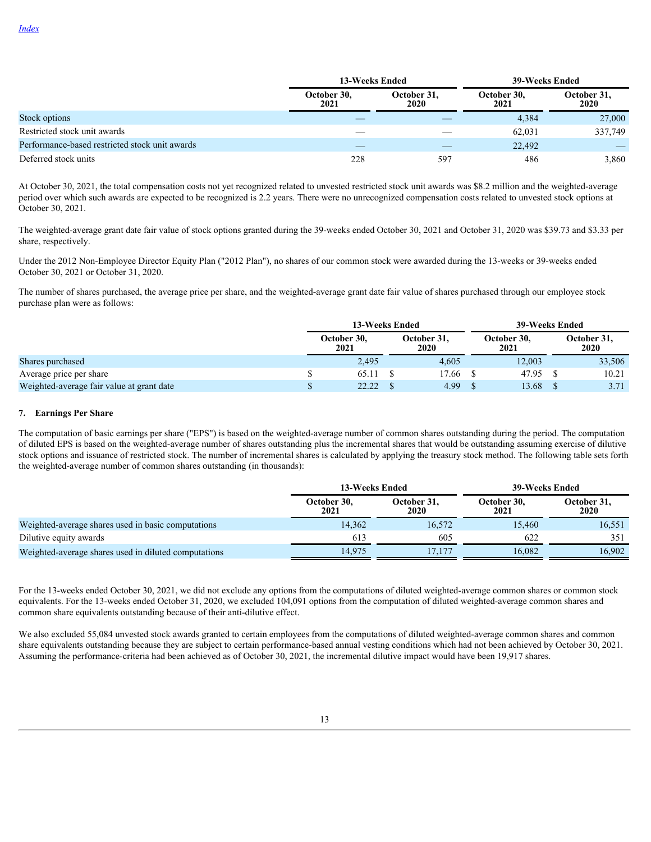|                                                | 13-Weeks Ended      |                                 | <b>39-Weeks Ended</b> |                            |
|------------------------------------------------|---------------------|---------------------------------|-----------------------|----------------------------|
|                                                | October 30,<br>2021 | October 31,<br><b>2020</b>      | October 30,<br>2021   | October 31,<br><b>2020</b> |
| Stock options                                  |                     |                                 | 4,384                 | 27,000                     |
| Restricted stock unit awards                   |                     | $\hspace{0.1mm}-\hspace{0.1mm}$ | 62,031                | 337,749                    |
| Performance-based restricted stock unit awards | $\hspace{0.05cm}$   | $\hspace{0.1mm}-\hspace{0.1mm}$ | 22,492                |                            |
| Deferred stock units                           | 228                 | 597                             | 486                   | 3,860                      |

At October 30, 2021, the total compensation costs not yet recognized related to unvested restricted stock unit awards was \$8.2 million and the weighted-average period over which such awards are expected to be recognized is 2.2 years. There were no unrecognized compensation costs related to unvested stock options at October 30, 2021.

The weighted-average grant date fair value of stock options granted during the 39-weeks ended October 30, 2021 and October 31, 2020 was \$39.73 and \$3.33 per share, respectively.

Under the 2012 Non-Employee Director Equity Plan ("2012 Plan"), no shares of our common stock were awarded during the 13-weeks or 39-weeks ended October 30, 2021 or October 31, 2020.

The number of shares purchased, the average price per share, and the weighted-average grant date fair value of shares purchased through our employee stock purchase plan were as follows:

|                                           | 13-Weeks Ended      |                     | <b>39-Weeks Ended</b> |                     |
|-------------------------------------------|---------------------|---------------------|-----------------------|---------------------|
|                                           | October 30,<br>2021 | October 31.<br>2020 | October 30,<br>2021   | October 31,<br>2020 |
| Shares purchased                          | 2,495               | 4,605               | 12,003                | 33,506              |
| Average price per share                   | 65.11               | 17.66               | 47.95                 | 10.21               |
| Weighted-average fair value at grant date | 22.22               | 4.99                | 13.68                 | 3.71                |

#### **7. Earnings Per Share**

The computation of basic earnings per share ("EPS") is based on the weighted-average number of common shares outstanding during the period. The computation of diluted EPS is based on the weighted-average number of shares outstanding plus the incremental shares that would be outstanding assuming exercise of dilutive stock options and issuance of restricted stock. The number of incremental shares is calculated by applying the treasury stock method. The following table sets forth the weighted-average number of common shares outstanding (in thousands):

|                                                      |                     | 13-Weeks Ended      | <b>39-Weeks Ended</b> |                            |
|------------------------------------------------------|---------------------|---------------------|-----------------------|----------------------------|
|                                                      | October 30,<br>2021 | October 31,<br>2020 | October 30,<br>2021   | October 31,<br><b>2020</b> |
| Weighted-average shares used in basic computations   | 14,362              | 16,572              | 15,460                | 16,551                     |
| Dilutive equity awards                               | 613                 | 605                 | 622                   | 351                        |
| Weighted-average shares used in diluted computations | 14,975              | 17,177              | 16,082                | 16,902                     |

For the 13-weeks ended October 30, 2021, we did not exclude any options from the computations of diluted weighted-average common shares or common stock equivalents. For the 13-weeks ended October 31, 2020, we excluded 104,091 options from the computation of diluted weighted-average common shares and common share equivalents outstanding because of their anti-dilutive effect.

We also excluded 55,084 unvested stock awards granted to certain employees from the computations of diluted weighted-average common shares and common share equivalents outstanding because they are subject to certain performance-based annual vesting conditions which had not been achieved by October 30, 2021. Assuming the performance-criteria had been achieved as of October 30, 2021, the incremental dilutive impact would have been 19,917 shares.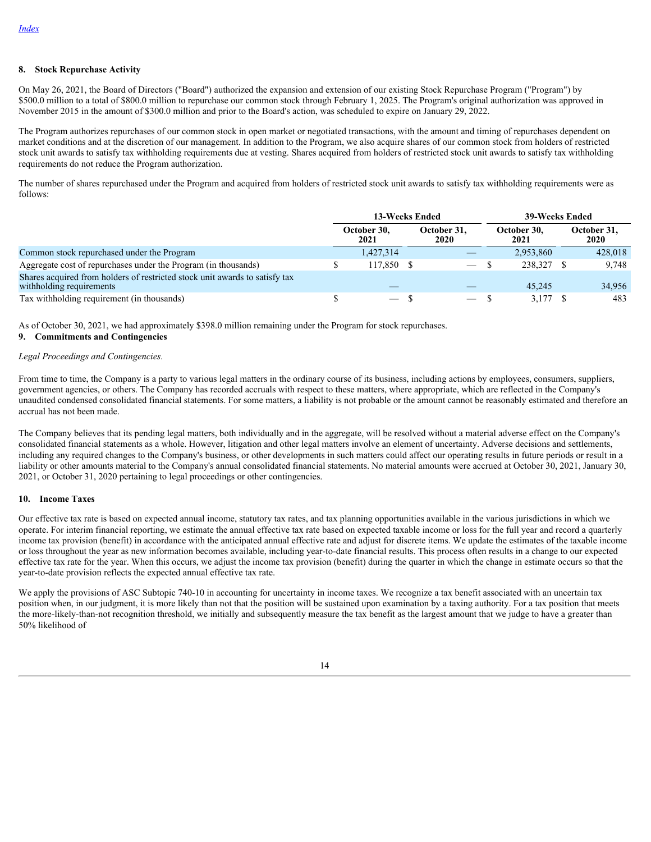## **8. Stock Repurchase Activity**

On May 26, 2021, the Board of Directors ("Board") authorized the expansion and extension of our existing Stock Repurchase Program ("Program") by \$500.0 million to a total of \$800.0 million to repurchase our common stock through February 1, 2025. The Program's original authorization was approved in November 2015 in the amount of \$300.0 million and prior to the Board's action, was scheduled to expire on January 29, 2022.

The Program authorizes repurchases of our common stock in open market or negotiated transactions, with the amount and timing of repurchases dependent on market conditions and at the discretion of our management. In addition to the Program, we also acquire shares of our common stock from holders of restricted stock unit awards to satisfy tax withholding requirements due at vesting. Shares acquired from holders of restricted stock unit awards to satisfy tax withholding requirements do not reduce the Program authorization.

The number of shares repurchased under the Program and acquired from holders of restricted stock unit awards to satisfy tax withholding requirements were as follows:

|                                                                                                         | 13-Weeks Ended      |                                 | <b>39-Weeks Ended</b> |                            |
|---------------------------------------------------------------------------------------------------------|---------------------|---------------------------------|-----------------------|----------------------------|
|                                                                                                         | October 30.<br>2021 | October 31,<br><b>2020</b>      | October 30,<br>2021   | October 31,<br><b>2020</b> |
| Common stock repurchased under the Program                                                              | 1,427,314           |                                 | 2,953,860             | 428,018                    |
| Aggregate cost of repurchases under the Program (in thousands)                                          | 117.850 \$          | $\hspace{0.1mm}-\hspace{0.1mm}$ | 238,327 \$            | 9,748                      |
| Shares acquired from holders of restricted stock unit awards to satisfy tax<br>withholding requirements |                     |                                 | 45,245                | 34,956                     |
| Tax withholding requirement (in thousands)                                                              |                     |                                 | 3,177                 | 483                        |

As of October 30, 2021, we had approximately \$398.0 million remaining under the Program for stock repurchases.

#### **9. Commitments and Contingencies**

## *Legal Proceedings and Contingencies.*

From time to time, the Company is a party to various legal matters in the ordinary course of its business, including actions by employees, consumers, suppliers, government agencies, or others. The Company has recorded accruals with respect to these matters, where appropriate, which are reflected in the Company's unaudited condensed consolidated financial statements. For some matters, a liability is not probable or the amount cannot be reasonably estimated and therefore an accrual has not been made.

The Company believes that its pending legal matters, both individually and in the aggregate, will be resolved without a material adverse effect on the Company's consolidated financial statements as a whole. However, litigation and other legal matters involve an element of uncertainty. Adverse decisions and settlements, including any required changes to the Company's business, or other developments in such matters could affect our operating results in future periods or result in a liability or other amounts material to the Company's annual consolidated financial statements. No material amounts were accrued at October 30, 2021, January 30, 2021, or October 31, 2020 pertaining to legal proceedings or other contingencies.

## **10. Income Taxes**

Our effective tax rate is based on expected annual income, statutory tax rates, and tax planning opportunities available in the various jurisdictions in which we operate. For interim financial reporting, we estimate the annual effective tax rate based on expected taxable income or loss for the full year and record a quarterly income tax provision (benefit) in accordance with the anticipated annual effective rate and adjust for discrete items. We update the estimates of the taxable income or loss throughout the year as new information becomes available, including year-to-date financial results. This process often results in a change to our expected effective tax rate for the year. When this occurs, we adjust the income tax provision (benefit) during the quarter in which the change in estimate occurs so that the year-to-date provision reflects the expected annual effective tax rate.

We apply the provisions of ASC Subtopic 740-10 in accounting for uncertainty in income taxes. We recognize a tax benefit associated with an uncertain tax position when, in our judgment, it is more likely than not that the position will be sustained upon examination by a taxing authority. For a tax position that meets the more-likely-than-not recognition threshold, we initially and subsequently measure the tax benefit as the largest amount that we judge to have a greater than 50% likelihood of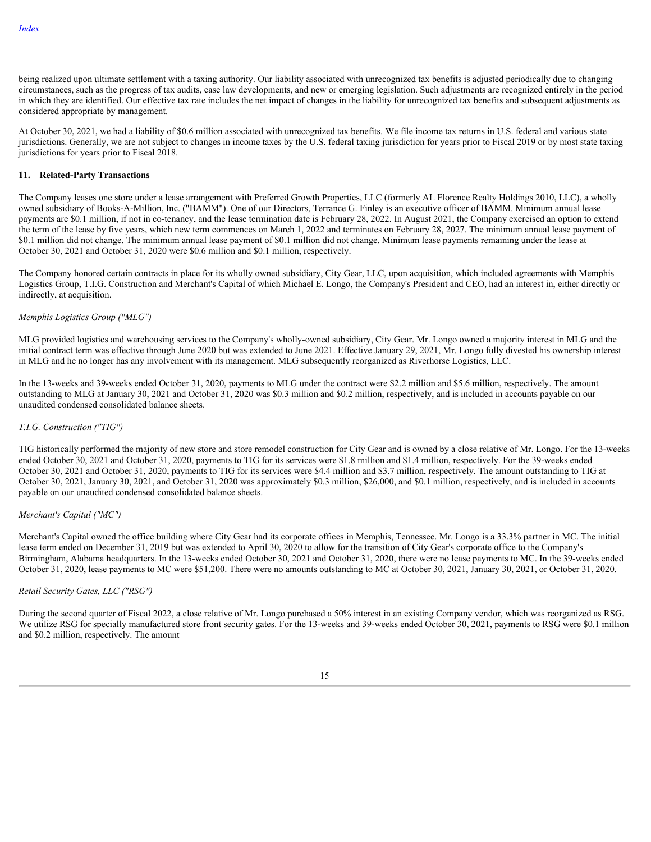being realized upon ultimate settlement with a taxing authority. Our liability associated with unrecognized tax benefits is adjusted periodically due to changing circumstances, such as the progress of tax audits, case law developments, and new or emerging legislation. Such adjustments are recognized entirely in the period in which they are identified. Our effective tax rate includes the net impact of changes in the liability for unrecognized tax benefits and subsequent adjustments as considered appropriate by management.

At October 30, 2021, we had a liability of \$0.6 million associated with unrecognized tax benefits. We file income tax returns in U.S. federal and various state jurisdictions. Generally, we are not subject to changes in income taxes by the U.S. federal taxing jurisdiction for years prior to Fiscal 2019 or by most state taxing jurisdictions for years prior to Fiscal 2018.

## **11. Related-Party Transactions**

The Company leases one store under a lease arrangement with Preferred Growth Properties, LLC (formerly AL Florence Realty Holdings 2010, LLC), a wholly owned subsidiary of Books-A-Million, Inc. ("BAMM"). One of our Directors, Terrance G. Finley is an executive officer of BAMM. Minimum annual lease payments are \$0.1 million, if not in co-tenancy, and the lease termination date is February 28, 2022. In August 2021, the Company exercised an option to extend the term of the lease by five years, which new term commences on March 1, 2022 and terminates on February 28, 2027. The minimum annual lease payment of \$0.1 million did not change. The minimum annual lease payment of \$0.1 million did not change. Minimum lease payments remaining under the lease at October 30, 2021 and October 31, 2020 were \$0.6 million and \$0.1 million, respectively.

The Company honored certain contracts in place for its wholly owned subsidiary, City Gear, LLC, upon acquisition, which included agreements with Memphis Logistics Group, T.I.G. Construction and Merchant's Capital of which Michael E. Longo, the Company's President and CEO, had an interest in, either directly or indirectly, at acquisition.

## *Memphis Logistics Group ("MLG")*

MLG provided logistics and warehousing services to the Company's wholly-owned subsidiary, City Gear. Mr. Longo owned a majority interest in MLG and the initial contract term was effective through June 2020 but was extended to June 2021. Effective January 29, 2021, Mr. Longo fully divested his ownership interest in MLG and he no longer has any involvement with its management. MLG subsequently reorganized as Riverhorse Logistics, LLC.

In the 13-weeks and 39-weeks ended October 31, 2020, payments to MLG under the contract were \$2.2 million and \$5.6 million, respectively. The amount outstanding to MLG at January 30, 2021 and October 31, 2020 was \$0.3 million and \$0.2 million, respectively, and is included in accounts payable on our unaudited condensed consolidated balance sheets.

## *T.I.G. Construction ("TIG")*

TIG historically performed the majority of new store and store remodel construction for City Gear and is owned by a close relative of Mr. Longo. For the 13-weeks ended October 30, 2021 and October 31, 2020, payments to TIG for its services were \$1.8 million and \$1.4 million, respectively. For the 39-weeks ended October 30, 2021 and October 31, 2020, payments to TIG for its services were \$4.4 million and \$3.7 million, respectively. The amount outstanding to TIG at October 30, 2021, January 30, 2021, and October 31, 2020 was approximately \$0.3 million, \$26,000, and \$0.1 million, respectively, and is included in accounts payable on our unaudited condensed consolidated balance sheets.

## *Merchant's Capital ("MC")*

Merchant's Capital owned the office building where City Gear had its corporate offices in Memphis, Tennessee. Mr. Longo is a 33.3% partner in MC. The initial lease term ended on December 31, 2019 but was extended to April 30, 2020 to allow for the transition of City Gear's corporate office to the Company's Birmingham, Alabama headquarters. In the 13-weeks ended October 30, 2021 and October 31, 2020, there were no lease payments to MC. In the 39-weeks ended October 31, 2020, lease payments to MC were \$51,200. There were no amounts outstanding to MC at October 30, 2021, January 30, 2021, or October 31, 2020.

## *Retail Security Gates, LLC ("RSG")*

During the second quarter of Fiscal 2022, a close relative of Mr. Longo purchased a 50% interest in an existing Company vendor, which was reorganized as RSG. We utilize RSG for specially manufactured store front security gates. For the 13-weeks and 39-weeks ended October 30, 2021, payments to RSG were \$0.1 million and \$0.2 million, respectively. The amount

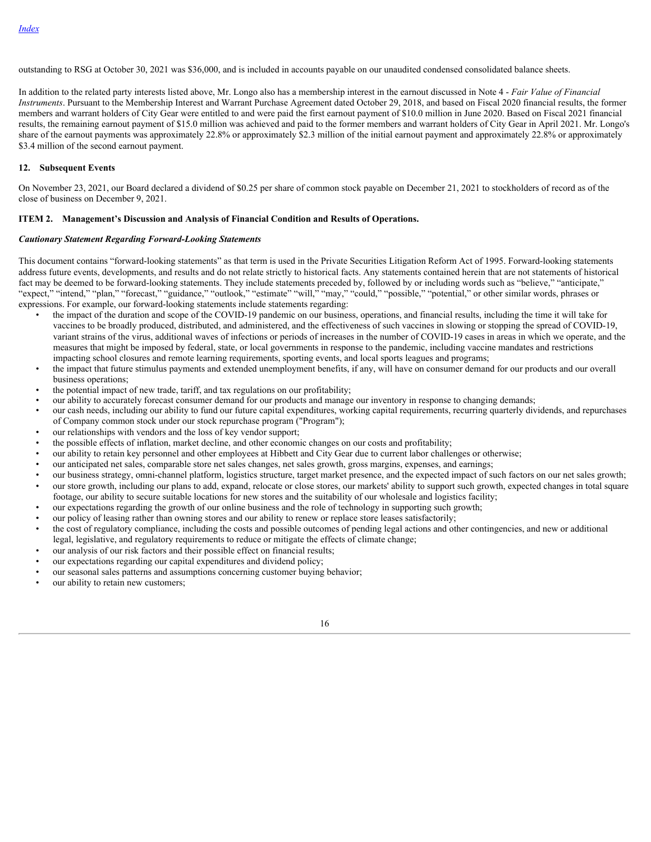outstanding to RSG at October 30, 2021 was \$36,000, and is included in accounts payable on our unaudited condensed consolidated balance sheets.

In addition to the related party interests listed above, Mr. Longo also has a membership interest in the earnout discussed in Note 4 - *Fair Value of Financial Instruments*. Pursuant to the Membership Interest and Warrant Purchase Agreement dated October 29, 2018, and based on Fiscal 2020 financial results, the former members and warrant holders of City Gear were entitled to and were paid the first earnout payment of \$10.0 million in June 2020. Based on Fiscal 2021 financial results, the remaining earnout payment of \$15.0 million was achieved and paid to the former members and warrant holders of City Gear in April 2021. Mr. Longo's share of the earnout payments was approximately 22.8% or approximately \$2.3 million of the initial earnout payment and approximately 22.8% or approximately \$3.4 million of the second earnout payment.

## **12. Subsequent Events**

On November 23, 2021, our Board declared a dividend of \$0.25 per share of common stock payable on December 21, 2021 to stockholders of record as of the close of business on December 9, 2021.

#### <span id="page-17-0"></span>**ITEM 2. Management's Discussion and Analysis of Financial Condition and Results of Operations.**

## *Cautionary Statement Regarding Forward-Looking Statements*

This document contains "forward-looking statements" as that term is used in the Private Securities Litigation Reform Act of 1995. Forward-looking statements address future events, developments, and results and do not relate strictly to historical facts. Any statements contained herein that are not statements of historical fact may be deemed to be forward-looking statements. They include statements preceded by, followed by or including words such as "believe," "anticipate," "expect," "intend," "plan," "forecast," "guidance," "outlook," "estimate" "will," "may," "could," "possible," "potential," or other similar words, phrases or expressions. For example, our forward-looking statements include statements regarding:

- the impact of the duration and scope of the COVID-19 pandemic on our business, operations, and financial results, including the time it will take for vaccines to be broadly produced, distributed, and administered, and the effectiveness of such vaccines in slowing or stopping the spread of COVID-19, variant strains of the virus, additional waves of infections or periods of increases in the number of COVID-19 cases in areas in which we operate, and the measures that might be imposed by federal, state, or local governments in response to the pandemic, including vaccine mandates and restrictions impacting school closures and remote learning requirements, sporting events, and local sports leagues and programs;
- the impact that future stimulus payments and extended unemployment benefits, if any, will have on consumer demand for our products and our overall business operations;
- the potential impact of new trade, tariff, and tax regulations on our profitability;
- our ability to accurately forecast consumer demand for our products and manage our inventory in response to changing demands;
- our cash needs, including our ability to fund our future capital expenditures, working capital requirements, recurring quarterly dividends, and repurchases of Company common stock under our stock repurchase program ("Program");
- our relationships with vendors and the loss of key vendor support;
- the possible effects of inflation, market decline, and other economic changes on our costs and profitability;
- our ability to retain key personnel and other employees at Hibbett and City Gear due to current labor challenges or otherwise;
- our anticipated net sales, comparable store net sales changes, net sales growth, gross margins, expenses, and earnings;
- our business strategy, omni-channel platform, logistics structure, target market presence, and the expected impact of such factors on our net sales growth;
- our store growth, including our plans to add, expand, relocate or close stores, our markets' ability to support such growth, expected changes in total square footage, our ability to secure suitable locations for new stores and the suitability of our wholesale and logistics facility;
- our expectations regarding the growth of our online business and the role of technology in supporting such growth;
- our policy of leasing rather than owning stores and our ability to renew or replace store leases satisfactorily;
- the cost of regulatory compliance, including the costs and possible outcomes of pending legal actions and other contingencies, and new or additional legal, legislative, and regulatory requirements to reduce or mitigate the effects of climate change;
- our analysis of our risk factors and their possible effect on financial results;
- our expectations regarding our capital expenditures and dividend policy;
- our seasonal sales patterns and assumptions concerning customer buying behavior;
- our ability to retain new customers;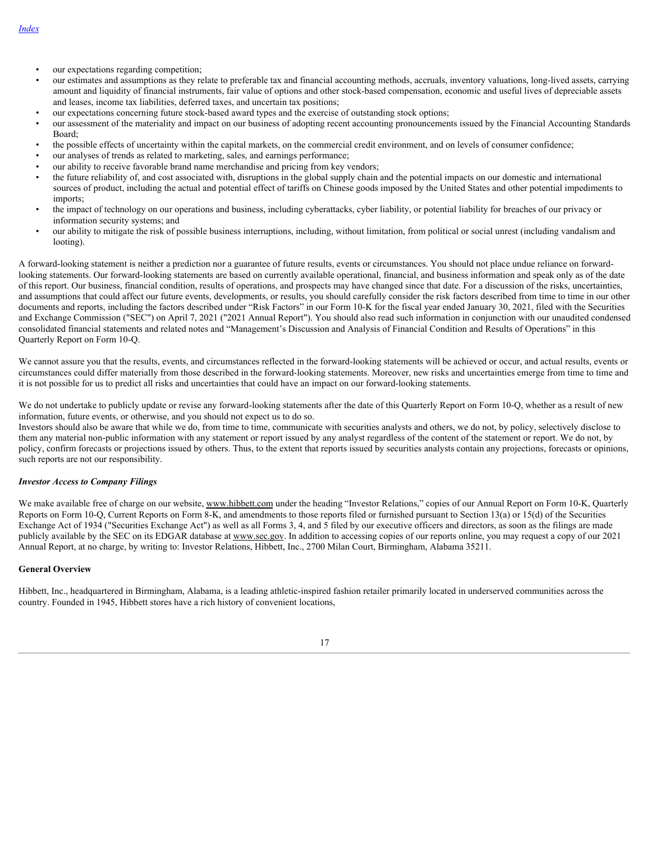- our expectations regarding competition;
- our estimates and assumptions as they relate to preferable tax and financial accounting methods, accruals, inventory valuations, long-lived assets, carrying amount and liquidity of financial instruments, fair value of options and other stock-based compensation, economic and useful lives of depreciable assets and leases, income tax liabilities, deferred taxes, and uncertain tax positions;
- our expectations concerning future stock-based award types and the exercise of outstanding stock options;
- our assessment of the materiality and impact on our business of adopting recent accounting pronouncements issued by the Financial Accounting Standards Board;
- the possible effects of uncertainty within the capital markets, on the commercial credit environment, and on levels of consumer confidence;
- our analyses of trends as related to marketing, sales, and earnings performance;
- our ability to receive favorable brand name merchandise and pricing from key vendors;
- the future reliability of, and cost associated with, disruptions in the global supply chain and the potential impacts on our domestic and international sources of product, including the actual and potential effect of tariffs on Chinese goods imposed by the United States and other potential impediments to imports;
- the impact of technology on our operations and business, including cyberattacks, cyber liability, or potential liability for breaches of our privacy or information security systems; and
- our ability to mitigate the risk of possible business interruptions, including, without limitation, from political or social unrest (including vandalism and looting).

A forward-looking statement is neither a prediction nor a guarantee of future results, events or circumstances. You should not place undue reliance on forwardlooking statements. Our forward-looking statements are based on currently available operational, financial, and business information and speak only as of the date of this report. Our business, financial condition, results of operations, and prospects may have changed since that date. For a discussion of the risks, uncertainties, and assumptions that could affect our future events, developments, or results, you should carefully consider the risk factors described from time to time in our other documents and reports, including the factors described under "Risk Factors" in our Form 10-K for the fiscal year ended January 30, 2021, filed with the Securities and Exchange Commission ("SEC") on April 7, 2021 ("2021 Annual Report"). You should also read such information in conjunction with our unaudited condensed consolidated financial statements and related notes and "Management's Discussion and Analysis of Financial Condition and Results of Operations" in this Quarterly Report on Form 10-Q.

We cannot assure you that the results, events, and circumstances reflected in the forward-looking statements will be achieved or occur, and actual results, events or circumstances could differ materially from those described in the forward-looking statements. Moreover, new risks and uncertainties emerge from time to time and it is not possible for us to predict all risks and uncertainties that could have an impact on our forward-looking statements.

We do not undertake to publicly update or revise any forward-looking statements after the date of this Quarterly Report on Form 10-Q, whether as a result of new information, future events, or otherwise, and you should not expect us to do so.

Investors should also be aware that while we do, from time to time, communicate with securities analysts and others, we do not, by policy, selectively disclose to them any material non-public information with any statement or report issued by any analyst regardless of the content of the statement or report. We do not, by policy, confirm forecasts or projections issued by others. Thus, to the extent that reports issued by securities analysts contain any projections, forecasts or opinions, such reports are not our responsibility.

#### *Investor Access to Company Filings*

We make available free of charge on our website, www.hibbett.com under the heading "Investor Relations," copies of our Annual Report on Form 10-K, Quarterly Reports on Form 10-Q, Current Reports on Form 8-K, and amendments to those reports filed or furnished pursuant to Section 13(a) or 15(d) of the Securities Exchange Act of 1934 ("Securities Exchange Act") as well as all Forms 3, 4, and 5 filed by our executive officers and directors, as soon as the filings are made publicly available by the SEC on its EDGAR database at www.sec.gov. In addition to accessing copies of our reports online, you may request a copy of our 2021 Annual Report, at no charge, by writing to: Investor Relations, Hibbett, Inc., 2700 Milan Court, Birmingham, Alabama 35211.

#### **General Overview**

Hibbett, Inc., headquartered in Birmingham, Alabama, is a leading athletic-inspired fashion retailer primarily located in underserved communities across the country. Founded in 1945, Hibbett stores have a rich history of convenient locations,

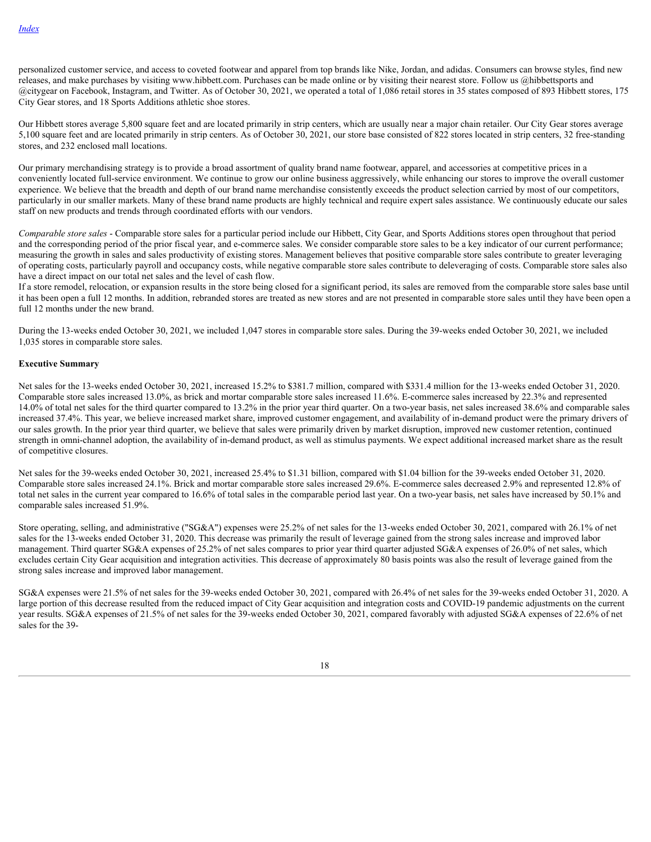personalized customer service, and access to coveted footwear and apparel from top brands like Nike, Jordan, and adidas. Consumers can browse styles, find new releases, and make purchases by visiting www.hibbett.com. Purchases can be made online or by visiting their nearest store. Follow us @hibbettsports and @citygear on Facebook, Instagram, and Twitter. As of October 30, 2021, we operated a total of 1,086 retail stores in 35 states composed of 893 Hibbett stores, 175 City Gear stores, and 18 Sports Additions athletic shoe stores.

Our Hibbett stores average 5,800 square feet and are located primarily in strip centers, which are usually near a major chain retailer. Our City Gear stores average 5,100 square feet and are located primarily in strip centers. As of October 30, 2021, our store base consisted of 822 stores located in strip centers, 32 free-standing stores, and 232 enclosed mall locations.

Our primary merchandising strategy is to provide a broad assortment of quality brand name footwear, apparel, and accessories at competitive prices in a conveniently located full-service environment. We continue to grow our online business aggressively, while enhancing our stores to improve the overall customer experience. We believe that the breadth and depth of our brand name merchandise consistently exceeds the product selection carried by most of our competitors, particularly in our smaller markets. Many of these brand name products are highly technical and require expert sales assistance. We continuously educate our sales staff on new products and trends through coordinated efforts with our vendors.

*Comparable store sales* - Comparable store sales for a particular period include our Hibbett, City Gear, and Sports Additions stores open throughout that period and the corresponding period of the prior fiscal year, and e-commerce sales. We consider comparable store sales to be a key indicator of our current performance; measuring the growth in sales and sales productivity of existing stores. Management believes that positive comparable store sales contribute to greater leveraging of operating costs, particularly payroll and occupancy costs, while negative comparable store sales contribute to deleveraging of costs. Comparable store sales also have a direct impact on our total net sales and the level of cash flow.

If a store remodel, relocation, or expansion results in the store being closed for a significant period, its sales are removed from the comparable store sales base until it has been open a full 12 months. In addition, rebranded stores are treated as new stores and are not presented in comparable store sales until they have been open a full 12 months under the new brand.

During the 13-weeks ended October 30, 2021, we included 1,047 stores in comparable store sales. During the 39-weeks ended October 30, 2021, we included 1,035 stores in comparable store sales.

#### **Executive Summary**

Net sales for the 13-weeks ended October 30, 2021, increased 15.2% to \$381.7 million, compared with \$331.4 million for the 13-weeks ended October 31, 2020. Comparable store sales increased 13.0%, as brick and mortar comparable store sales increased 11.6%. E-commerce sales increased by 22.3% and represented 14.0% of total net sales for the third quarter compared to 13.2% in the prior year third quarter. On a two-year basis, net sales increased 38.6% and comparable sales increased 37.4%. This year, we believe increased market share, improved customer engagement, and availability of in-demand product were the primary drivers of our sales growth. In the prior year third quarter, we believe that sales were primarily driven by market disruption, improved new customer retention, continued strength in omni-channel adoption, the availability of in-demand product, as well as stimulus payments. We expect additional increased market share as the result of competitive closures.

Net sales for the 39-weeks ended October 30, 2021, increased 25.4% to \$1.31 billion, compared with \$1.04 billion for the 39-weeks ended October 31, 2020. Comparable store sales increased 24.1%. Brick and mortar comparable store sales increased 29.6%. E-commerce sales decreased 2.9% and represented 12.8% of total net sales in the current year compared to 16.6% of total sales in the comparable period last year. On a two-year basis, net sales have increased by 50.1% and comparable sales increased 51.9%.

Store operating, selling, and administrative ("SG&A") expenses were 25.2% of net sales for the 13-weeks ended October 30, 2021, compared with 26.1% of net sales for the 13-weeks ended October 31, 2020. This decrease was primarily the result of leverage gained from the strong sales increase and improved labor management. Third quarter SG&A expenses of 25.2% of net sales compares to prior year third quarter adjusted SG&A expenses of 26.0% of net sales, which excludes certain City Gear acquisition and integration activities. This decrease of approximately 80 basis points was also the result of leverage gained from the strong sales increase and improved labor management.

SG&A expenses were 21.5% of net sales for the 39-weeks ended October 30, 2021, compared with 26.4% of net sales for the 39-weeks ended October 31, 2020. A large portion of this decrease resulted from the reduced impact of City Gear acquisition and integration costs and COVID-19 pandemic adjustments on the current year results. SG&A expenses of 21.5% of net sales for the 39-weeks ended October 30, 2021, compared favorably with adjusted SG&A expenses of 22.6% of net sales for the 39-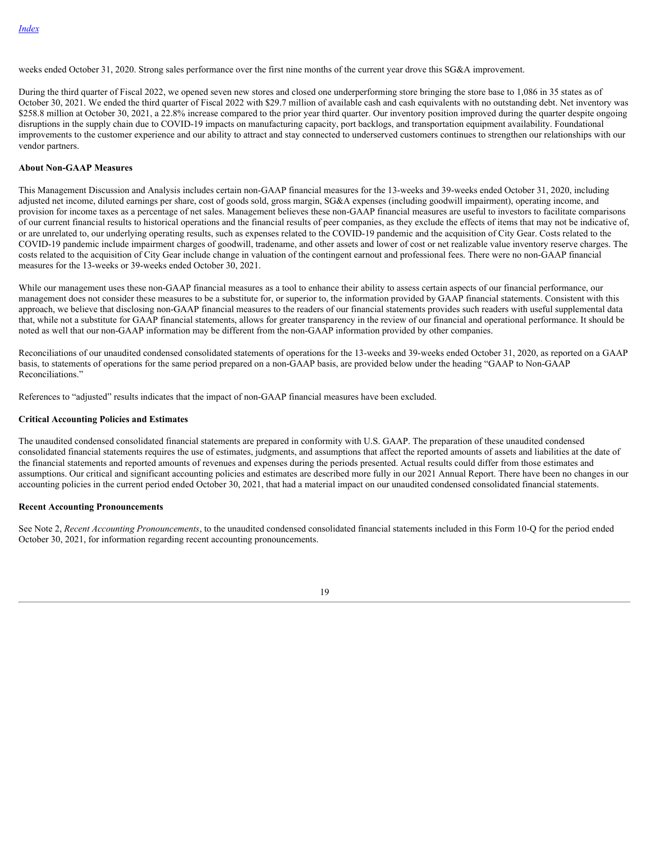weeks ended October 31, 2020. Strong sales performance over the first nine months of the current year drove this SG&A improvement.

During the third quarter of Fiscal 2022, we opened seven new stores and closed one underperforming store bringing the store base to 1,086 in 35 states as of October 30, 2021. We ended the third quarter of Fiscal 2022 with \$29.7 million of available cash and cash equivalents with no outstanding debt. Net inventory was \$258.8 million at October 30, 2021, a 22.8% increase compared to the prior year third quarter. Our inventory position improved during the quarter despite ongoing disruptions in the supply chain due to COVID-19 impacts on manufacturing capacity, port backlogs, and transportation equipment availability. Foundational improvements to the customer experience and our ability to attract and stay connected to underserved customers continues to strengthen our relationships with our vendor partners.

## **About Non-GAAP Measures**

This Management Discussion and Analysis includes certain non-GAAP financial measures for the 13-weeks and 39-weeks ended October 31, 2020, including adjusted net income, diluted earnings per share, cost of goods sold, gross margin, SG&A expenses (including goodwill impairment), operating income, and provision for income taxes as a percentage of net sales. Management believes these non-GAAP financial measures are useful to investors to facilitate comparisons of our current financial results to historical operations and the financial results of peer companies, as they exclude the effects of items that may not be indicative of, or are unrelated to, our underlying operating results, such as expenses related to the COVID-19 pandemic and the acquisition of City Gear. Costs related to the COVID-19 pandemic include impairment charges of goodwill, tradename, and other assets and lower of cost or net realizable value inventory reserve charges. The costs related to the acquisition of City Gear include change in valuation of the contingent earnout and professional fees. There were no non-GAAP financial measures for the 13-weeks or 39-weeks ended October 30, 2021.

While our management uses these non-GAAP financial measures as a tool to enhance their ability to assess certain aspects of our financial performance, our management does not consider these measures to be a substitute for, or superior to, the information provided by GAAP financial statements. Consistent with this approach, we believe that disclosing non-GAAP financial measures to the readers of our financial statements provides such readers with useful supplemental data that, while not a substitute for GAAP financial statements, allows for greater transparency in the review of our financial and operational performance. It should be noted as well that our non-GAAP information may be different from the non-GAAP information provided by other companies.

Reconciliations of our unaudited condensed consolidated statements of operations for the 13-weeks and 39-weeks ended October 31, 2020, as reported on a GAAP basis, to statements of operations for the same period prepared on a non-GAAP basis, are provided below under the heading "GAAP to Non-GAAP Reconciliations."

References to "adjusted" results indicates that the impact of non-GAAP financial measures have been excluded.

#### **Critical Accounting Policies and Estimates**

The unaudited condensed consolidated financial statements are prepared in conformity with U.S. GAAP. The preparation of these unaudited condensed consolidated financial statements requires the use of estimates, judgments, and assumptions that affect the reported amounts of assets and liabilities at the date of the financial statements and reported amounts of revenues and expenses during the periods presented. Actual results could differ from those estimates and assumptions. Our critical and significant accounting policies and estimates are described more fully in our 2021 Annual Report. There have been no changes in our accounting policies in the current period ended October 30, 2021, that had a material impact on our unaudited condensed consolidated financial statements.

#### **Recent Accounting Pronouncements**

See Note 2, *Recent Accounting Pronouncements*, to the unaudited condensed consolidated financial statements included in this Form 10-Q for the period ended October 30, 2021, for information regarding recent accounting pronouncements.

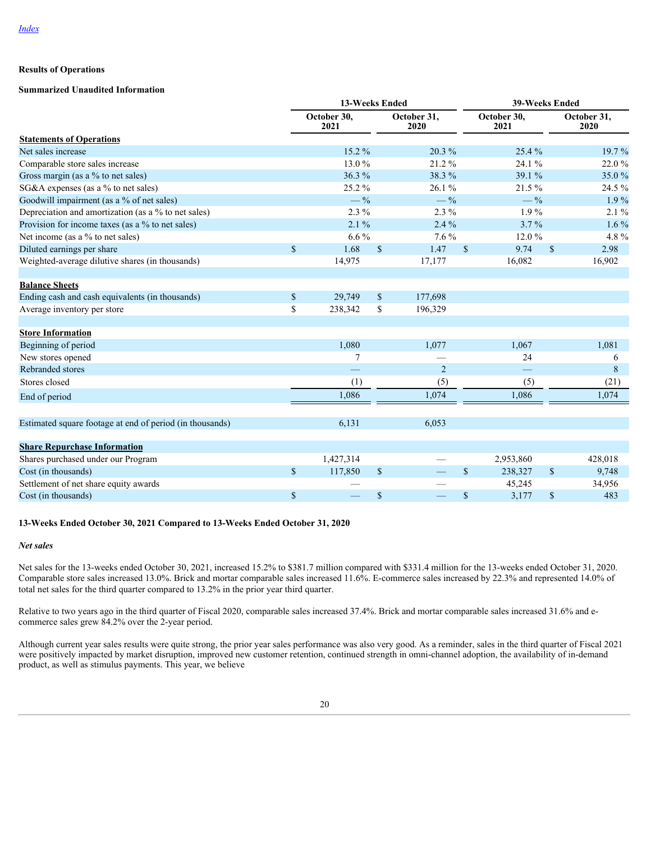## **Results of Operations**

## **Summarized Unaudited Information**

|                                                          |               | 13-Weeks Ended      |                    |                          |               | 39-Weeks Ended                  |               |                     |  |  |  |
|----------------------------------------------------------|---------------|---------------------|--------------------|--------------------------|---------------|---------------------------------|---------------|---------------------|--|--|--|
|                                                          |               | October 30,<br>2021 |                    | October 31,<br>2020      |               | October 30,<br>2021             |               | October 31,<br>2020 |  |  |  |
| <b>Statements of Operations</b>                          |               |                     |                    |                          |               |                                 |               |                     |  |  |  |
| Net sales increase                                       |               | 15.2 %              |                    | 20.3 %                   |               | 25.4 %                          |               | 19.7%               |  |  |  |
| Comparable store sales increase                          |               | 13.0%               |                    | 21.2 %                   |               | 24.1 %                          |               | 22.0%               |  |  |  |
| Gross margin (as a % to net sales)                       |               | 36.3 %              |                    | 38.3 %                   |               | 39.1 %                          |               | 35.0%               |  |  |  |
| SG&A expenses (as a % to net sales)                      |               | 25.2 %              |                    | 26.1%                    |               | 21.5%                           |               | 24.5 %              |  |  |  |
| Goodwill impairment (as a % of net sales)                |               | $-$ %               |                    | $-$ %                    |               | $-$ %                           |               | 1.9%                |  |  |  |
| Depreciation and amortization (as a % to net sales)      |               | $2.3\%$             |                    | $2.3\%$                  |               | $1.9\%$                         |               | $2.1\%$             |  |  |  |
| Provision for income taxes (as a % to net sales)         |               | $2.1\%$             |                    | $2.4\%$                  |               | $3.7\%$                         |               | $1.6\%$             |  |  |  |
| Net income (as a % to net sales)                         |               | $6.6\%$             |                    | $7.6\%$                  |               | 12.0%                           |               | 4.8%                |  |  |  |
| Diluted earnings per share                               | $\mathcal{S}$ | 1.68                | $\mathbf{\hat{s}}$ | 1.47                     | $\sqrt{S}$    | 9.74                            | $\mathcal{S}$ | 2.98                |  |  |  |
| Weighted-average dilutive shares (in thousands)          |               | 14,975              |                    | 17,177                   |               | 16,082                          |               | 16,902              |  |  |  |
|                                                          |               |                     |                    |                          |               |                                 |               |                     |  |  |  |
| <b>Balance Sheets</b>                                    |               |                     |                    |                          |               |                                 |               |                     |  |  |  |
| Ending cash and cash equivalents (in thousands)          |               | 29,749              | <b>S</b>           | 177,698                  |               |                                 |               |                     |  |  |  |
| Average inventory per store                              |               | 238,342             | $\mathbb{S}$       | 196,329                  |               |                                 |               |                     |  |  |  |
|                                                          |               |                     |                    |                          |               |                                 |               |                     |  |  |  |
| <b>Store Information</b>                                 |               |                     |                    |                          |               |                                 |               |                     |  |  |  |
| Beginning of period                                      |               | 1,080               |                    | 1,077                    |               | 1,067                           |               | 1,081               |  |  |  |
| New stores opened                                        |               |                     |                    | $\frac{1}{2}$            |               | 24                              |               | 6                   |  |  |  |
| Rebranded stores                                         |               |                     |                    | $\overline{2}$           |               | $\hspace{0.1mm}-\hspace{0.1mm}$ |               | 8                   |  |  |  |
| Stores closed                                            |               | (1)                 |                    | (5)                      |               | (5)                             |               | (21)                |  |  |  |
| End of period                                            |               | 1,086               |                    | 1,074                    |               | 1,086                           |               | 1,074               |  |  |  |
|                                                          |               |                     |                    |                          |               |                                 |               |                     |  |  |  |
| Estimated square footage at end of period (in thousands) |               | 6,131               |                    | 6,053                    |               |                                 |               |                     |  |  |  |
| <b>Share Repurchase Information</b>                      |               |                     |                    |                          |               |                                 |               |                     |  |  |  |
| Shares purchased under our Program                       |               | 1,427,314           |                    | $\hspace{0.05cm}$        |               | 2,953,860                       |               | 428,018             |  |  |  |
| Cost (in thousands)                                      | $\mathcal{S}$ | 117,850             | -\$                |                          |               | 238,327                         | $\mathcal{S}$ | 9,748               |  |  |  |
| Settlement of net share equity awards                    |               |                     |                    |                          |               | 45,245                          |               | 34,956              |  |  |  |
| Cost (in thousands)                                      | $\mathbb{S}$  |                     | -\$                | $\overline{\phantom{m}}$ | $\mathcal{S}$ | 3,177                           | <sup>S</sup>  | 483                 |  |  |  |
|                                                          |               |                     |                    |                          |               |                                 |               |                     |  |  |  |

## **13-Weeks Ended October 30, 2021 Compared to 13-Weeks Ended October 31, 2020**

## *Net sales*

Net sales for the 13-weeks ended October 30, 2021, increased 15.2% to \$381.7 million compared with \$331.4 million for the 13-weeks ended October 31, 2020. Comparable store sales increased 13.0%. Brick and mortar comparable sales increased 11.6%. E-commerce sales increased by 22.3% and represented 14.0% of total net sales for the third quarter compared to 13.2% in the prior year third quarter.

Relative to two years ago in the third quarter of Fiscal 2020, comparable sales increased 37.4%. Brick and mortar comparable sales increased 31.6% and ecommerce sales grew 84.2% over the 2-year period.

Although current year sales results were quite strong, the prior year sales performance was also very good. As a reminder, sales in the third quarter of Fiscal 2021 were positively impacted by market disruption, improved new customer retention, continued strength in omni-channel adoption, the availability of in-demand product, as well as stimulus payments. This year, we believe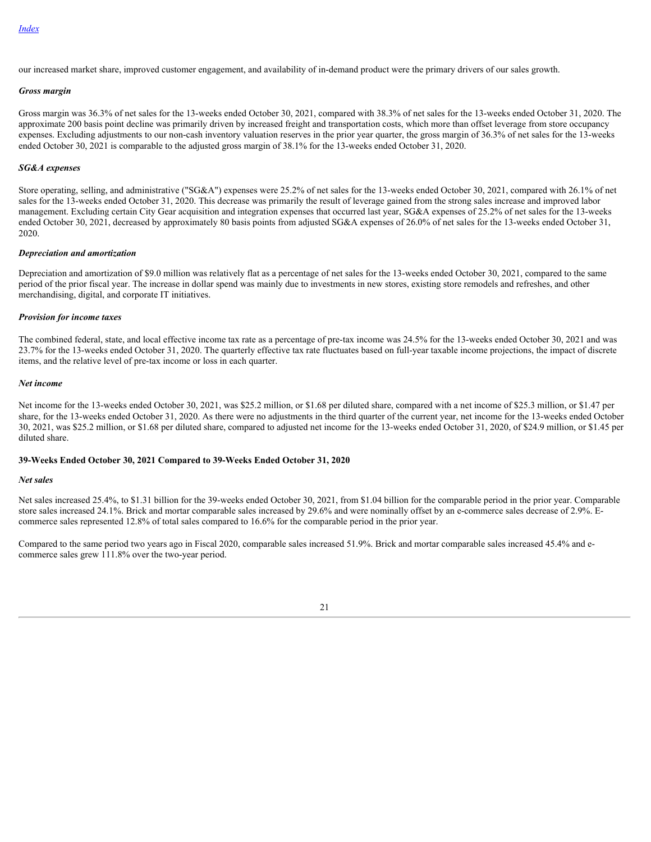our increased market share, improved customer engagement, and availability of in-demand product were the primary drivers of our sales growth.

#### *Gross margin*

Gross margin was 36.3% of net sales for the 13-weeks ended October 30, 2021, compared with 38.3% of net sales for the 13-weeks ended October 31, 2020. The approximate 200 basis point decline was primarily driven by increased freight and transportation costs, which more than offset leverage from store occupancy expenses. Excluding adjustments to our non-cash inventory valuation reserves in the prior year quarter, the gross margin of 36.3% of net sales for the 13-weeks ended October 30, 2021 is comparable to the adjusted gross margin of 38.1% for the 13-weeks ended October 31, 2020.

## *SG&A expenses*

Store operating, selling, and administrative ("SG&A") expenses were 25.2% of net sales for the 13-weeks ended October 30, 2021, compared with 26.1% of net sales for the 13-weeks ended October 31, 2020. This decrease was primarily the result of leverage gained from the strong sales increase and improved labor management. Excluding certain City Gear acquisition and integration expenses that occurred last year, SG&A expenses of 25.2% of net sales for the 13-weeks ended October 30, 2021, decreased by approximately 80 basis points from adjusted SG&A expenses of 26.0% of net sales for the 13-weeks ended October 31, 2020.

#### *Depreciation and amortization*

Depreciation and amortization of \$9.0 million was relatively flat as a percentage of net sales for the 13-weeks ended October 30, 2021, compared to the same period of the prior fiscal year. The increase in dollar spend was mainly due to investments in new stores, existing store remodels and refreshes, and other merchandising, digital, and corporate IT initiatives.

#### *Provision for income taxes*

The combined federal, state, and local effective income tax rate as a percentage of pre-tax income was 24.5% for the 13-weeks ended October 30, 2021 and was 23.7% for the 13-weeks ended October 31, 2020. The quarterly effective tax rate fluctuates based on full-year taxable income projections, the impact of discrete items, and the relative level of pre-tax income or loss in each quarter.

#### *Net income*

Net income for the 13-weeks ended October 30, 2021, was \$25.2 million, or \$1.68 per diluted share, compared with a net income of \$25.3 million, or \$1.47 per share, for the 13-weeks ended October 31, 2020. As there were no adjustments in the third quarter of the current year, net income for the 13-weeks ended October 30, 2021, was \$25.2 million, or \$1.68 per diluted share, compared to adjusted net income for the 13-weeks ended October 31, 2020, of \$24.9 million, or \$1.45 per diluted share.

## **39-Weeks Ended October 30, 2021 Compared to 39-Weeks Ended October 31, 2020**

#### *Net sales*

Net sales increased 25.4%, to \$1.31 billion for the 39-weeks ended October 30, 2021, from \$1.04 billion for the comparable period in the prior year. Comparable store sales increased 24.1%. Brick and mortar comparable sales increased by 29.6% and were nominally offset by an e-commerce sales decrease of 2.9%. Ecommerce sales represented 12.8% of total sales compared to 16.6% for the comparable period in the prior year.

Compared to the same period two years ago in Fiscal 2020, comparable sales increased 51.9%. Brick and mortar comparable sales increased 45.4% and ecommerce sales grew 111.8% over the two-year period.

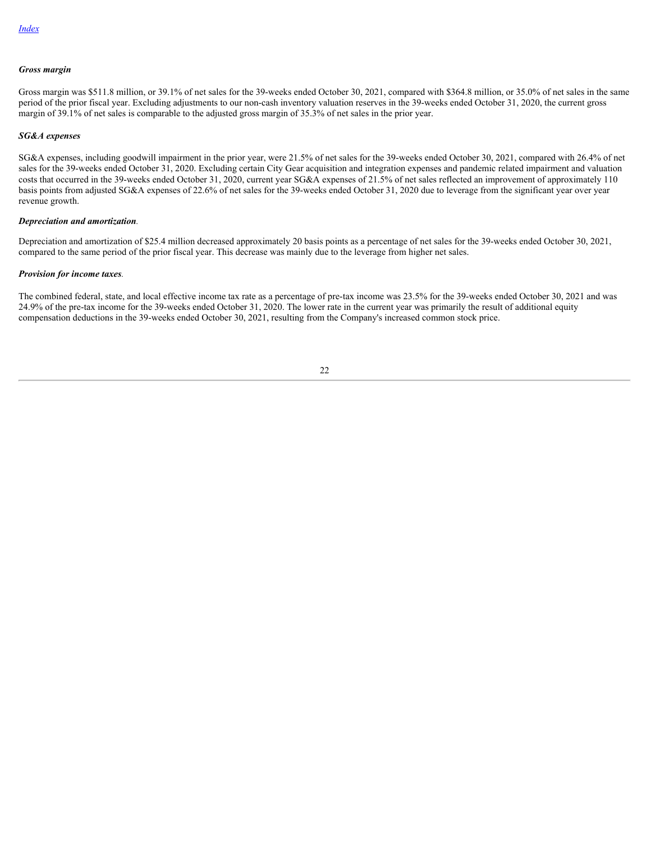#### *Gross margin*

Gross margin was \$511.8 million, or 39.1% of net sales for the 39-weeks ended October 30, 2021, compared with \$364.8 million, or 35.0% of net sales in the same period of the prior fiscal year. Excluding adjustments to our non-cash inventory valuation reserves in the 39-weeks ended October 31, 2020, the current gross margin of 39.1% of net sales is comparable to the adjusted gross margin of 35.3% of net sales in the prior year.

#### *SG&A expenses*

SG&A expenses, including goodwill impairment in the prior year, were 21.5% of net sales for the 39-weeks ended October 30, 2021, compared with 26.4% of net sales for the 39-weeks ended October 31, 2020. Excluding certain City Gear acquisition and integration expenses and pandemic related impairment and valuation costs that occurred in the 39-weeks ended October 31, 2020, current year SG&A expenses of 21.5% of net sales reflected an improvement of approximately 110 basis points from adjusted SG&A expenses of 22.6% of net sales for the 39-weeks ended October 31, 2020 due to leverage from the significant year over year revenue growth.

## *Depreciation and amortization.*

Depreciation and amortization of \$25.4 million decreased approximately 20 basis points as a percentage of net sales for the 39-weeks ended October 30, 2021, compared to the same period of the prior fiscal year. This decrease was mainly due to the leverage from higher net sales.

## *Provision for income taxes.*

The combined federal, state, and local effective income tax rate as a percentage of pre-tax income was 23.5% for the 39-weeks ended October 30, 2021 and was 24.9% of the pre-tax income for the 39-weeks ended October 31, 2020. The lower rate in the current year was primarily the result of additional equity compensation deductions in the 39-weeks ended October 30, 2021, resulting from the Company's increased common stock price.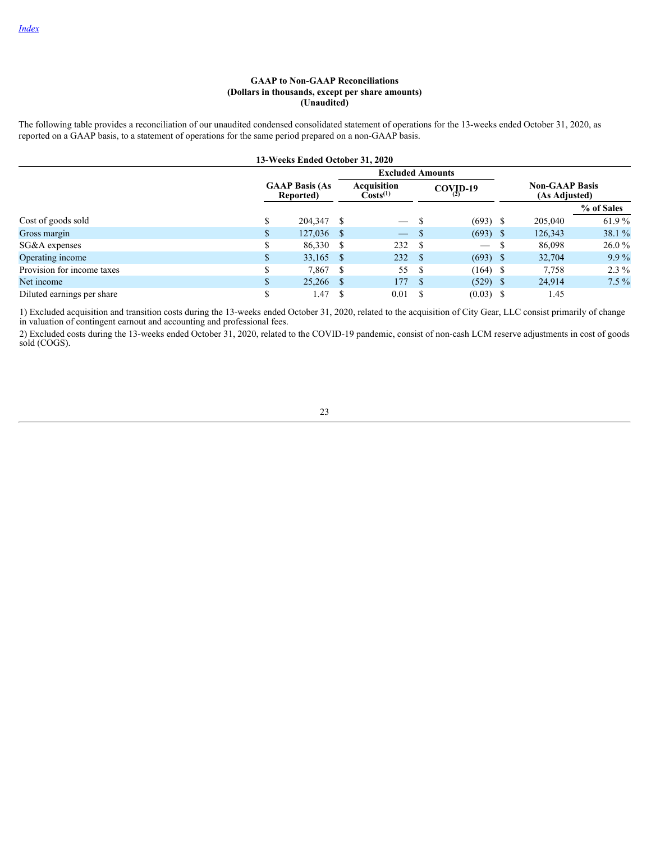## **GAAP to Non-GAAP Reconciliations (Dollars in thousands, except per share amounts) (Unaudited)**

The following table provides a reconciliation of our unaudited condensed consolidated statement of operations for the 13-weeks ended October 31, 2020, as reported on a GAAP basis, to a statement of operations for the same period prepared on a non-GAAP basis.

|                            | 13-Weeks Ended October 31, 2020    |                              |                               |                                        |            |
|----------------------------|------------------------------------|------------------------------|-------------------------------|----------------------------------------|------------|
|                            |                                    | <b>Excluded Amounts</b>      |                               |                                        |            |
|                            | <b>GAAP Basis (As</b><br>Reported) | Acquisition<br>$Costs^{(1)}$ | COVID-19<br>$\left( 2\right)$ | <b>Non-GAAP Basis</b><br>(As Adjusted) |            |
|                            |                                    |                              |                               |                                        | % of Sales |
| Cost of goods sold         | 204,347 \$                         | $\overline{\phantom{a}}$     | $(693)$ \$                    | 205,040                                | $61.9\%$   |
| Gross margin               | $127,036$ \$                       | $\longrightarrow$            | $(693)$ \$                    | 126,343                                | 38.1%      |
| SG&A expenses              | 86,330 \$                          | 232 \$                       | $-$ \$                        | 86,098                                 | 26.0%      |
| Operating income           | $33,165$ \$                        | 232 S                        | $(693)$ \$                    | 32,704                                 | 9.9%       |
| Provision for income taxes | 7,867 \$                           | 55 \$                        | $(164)$ \$                    | 7,758                                  | $2.3\%$    |
| Net income                 | 25,266 \$                          | 177S                         | $(529)$ \$                    | 24,914                                 | 7.5 %      |
| Diluted earnings per share | 1.47S                              | $0.01 \quad$ \$              | $(0.03)$ \$                   | 1.45                                   |            |

1) Excluded acquisition and transition costs during the 13-weeks ended October 31, 2020, related to the acquisition of City Gear, LLC consist primarily of change in valuation of contingent earnout and accounting and professional fees.

2) Excluded costs during the 13-weeks ended October 31, 2020, related to the COVID-19 pandemic, consist of non-cash LCM reserve adjustments in cost of goods sold (COGS).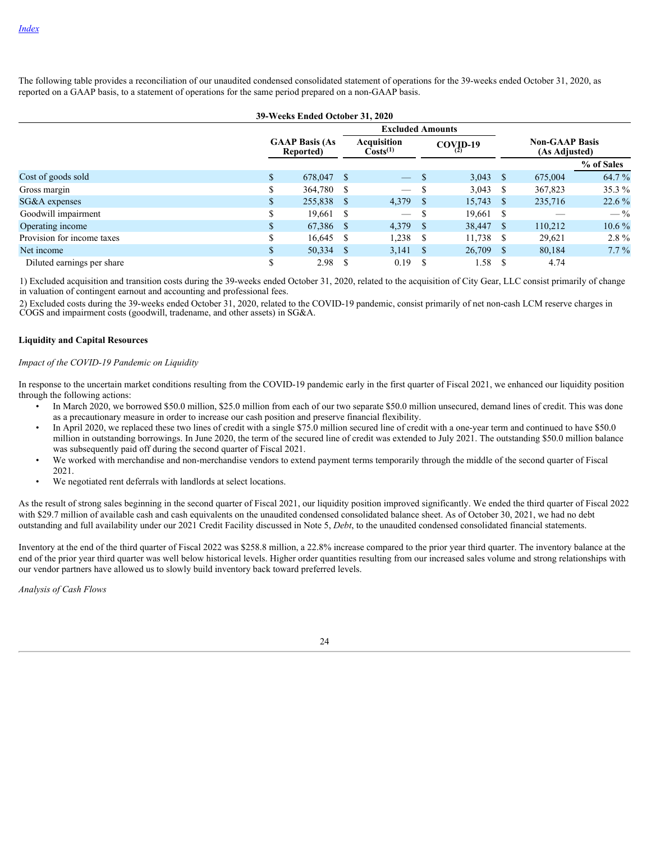The following table provides a reconciliation of our unaudited condensed consolidated statement of operations for the 39-weeks ended October 31, 2020, as reported on a GAAP basis, to a statement of operations for the same period prepared on a non-GAAP basis.

|                            | 39-Weeks Ended October 31, 2020    |                                       |      |             |                                        |            |
|----------------------------|------------------------------------|---------------------------------------|------|-------------|----------------------------------------|------------|
|                            |                                    | <b>Excluded Amounts</b>               |      |             |                                        |            |
|                            | <b>GAAP Basis (As</b><br>Reported) | Acquisition<br>$\mathbf{Costs}^{(1)}$ |      | COVID-19    | <b>Non-GAAP Basis</b><br>(As Adjusted) |            |
|                            |                                    |                                       |      |             |                                        | % of Sales |
| Cost of goods sold         | 678,047 \$                         | $\overline{\phantom{a}}$              | - 35 | $3,043$ \$  | 675,004                                | 64.7%      |
| Gross margin               | 364,780 \$                         | $\overline{\phantom{a}}$              |      | $3,043$ \$  | 367,823                                | 35.3 %     |
| SG&A expenses              | 255,838 \$                         | $4,379$ \$                            |      | $15,743$ \$ | 235,716                                | 22.6 %     |
| Goodwill impairment        | $19,661$ \$                        | $\overline{\phantom{a}}$              |      | $19,661$ \$ | $\hspace{0.05cm}$                      | $-$ %      |
| Operating income           | 67,386 \$                          | $4,379$ \$                            |      | 38,447 \$   | 110,212                                | 10.6%      |
| Provision for income taxes | $16,645$ \$                        | $1,238$ \$                            |      | $11,738$ \$ | 29,621                                 | 2.8%       |
| Net income                 | $50,334$ \$                        | $3,141$ \$                            |      | $26,709$ \$ | 80,184                                 | 7.7%       |
| Diluted earnings per share | 2.98 S                             | 0.19 S                                |      | 1.58        | 4.74                                   |            |

1) Excluded acquisition and transition costs during the 39-weeks ended October 31, 2020, related to the acquisition of City Gear, LLC consist primarily of change in valuation of contingent earnout and accounting and professional fees.

2) Excluded costs during the 39-weeks ended October 31, 2020, related to the COVID-19 pandemic, consist primarily of net non-cash LCM reserve charges in COGS and impairment costs (goodwill, tradename, and other assets) in SG&A.

## **Liquidity and Capital Resources**

## *Impact of the COVID-19 Pandemic on Liquidity*

In response to the uncertain market conditions resulting from the COVID-19 pandemic early in the first quarter of Fiscal 2021, we enhanced our liquidity position through the following actions:

- In March 2020, we borrowed \$50.0 million, \$25.0 million from each of our two separate \$50.0 million unsecured, demand lines of credit. This was done as a precautionary measure in order to increase our cash position and preserve financial flexibility.
- In April 2020, we replaced these two lines of credit with a single \$75.0 million secured line of credit with a one-year term and continued to have \$50.0 million in outstanding borrowings. In June 2020, the term of the secured line of credit was extended to July 2021. The outstanding \$50.0 million balance was subsequently paid off during the second quarter of Fiscal 2021.
- We worked with merchandise and non-merchandise vendors to extend payment terms temporarily through the middle of the second quarter of Fiscal 2021.
- We negotiated rent deferrals with landlords at select locations.

As the result of strong sales beginning in the second quarter of Fiscal 2021, our liquidity position improved significantly. We ended the third quarter of Fiscal 2022 with \$29.7 million of available cash and cash equivalents on the unaudited condensed consolidated balance sheet. As of October 30, 2021, we had no debt outstanding and full availability under our 2021 Credit Facility discussed in Note 5, *Debt*, to the unaudited condensed consolidated financial statements.

Inventory at the end of the third quarter of Fiscal 2022 was \$258.8 million, a 22.8% increase compared to the prior year third quarter. The inventory balance at the end of the prior year third quarter was well below historical levels. Higher order quantities resulting from our increased sales volume and strong relationships with our vendor partners have allowed us to slowly build inventory back toward preferred levels.

*Analysis of Cash Flows*

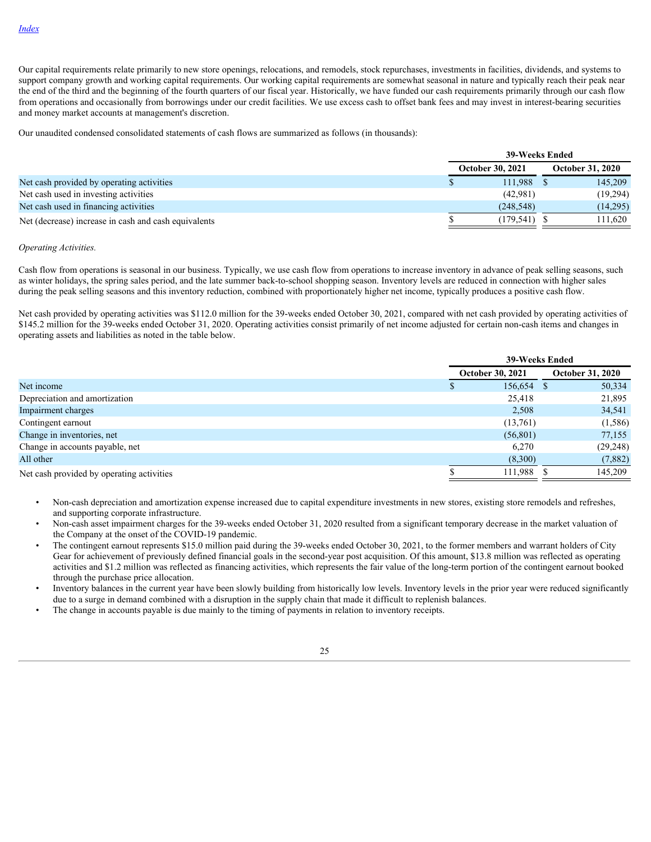Our capital requirements relate primarily to new store openings, relocations, and remodels, stock repurchases, investments in facilities, dividends, and systems to support company growth and working capital requirements. Our working capital requirements are somewhat seasonal in nature and typically reach their peak near the end of the third and the beginning of the fourth quarters of our fiscal year. Historically, we have funded our cash requirements primarily through our cash flow from operations and occasionally from borrowings under our credit facilities. We use excess cash to offset bank fees and may invest in interest-bearing securities and money market accounts at management's discretion.

Our unaudited condensed consolidated statements of cash flows are summarized as follows (in thousands):

| <b>October 31, 2020</b><br><b>October 30, 2021</b>                                 |
|------------------------------------------------------------------------------------|
| 145,209<br>111,988<br>Net cash provided by operating activities                    |
| Net cash used in investing activities<br>(19,294)<br>(42,981)                      |
| (14,295)<br>Net cash used in financing activities<br>(248, 548)                    |
| 111,620<br>$(179, 541)$ \$<br>Net (decrease) increase in cash and cash equivalents |

## *Operating Activities.*

Cash flow from operations is seasonal in our business. Typically, we use cash flow from operations to increase inventory in advance of peak selling seasons, such as winter holidays, the spring sales period, and the late summer back-to-school shopping season. Inventory levels are reduced in connection with higher sales during the peak selling seasons and this inventory reduction, combined with proportionately higher net income, typically produces a positive cash flow.

Net cash provided by operating activities was \$112.0 million for the 39-weeks ended October 30, 2021, compared with net cash provided by operating activities of \$145.2 million for the 39-weeks ended October 31, 2020. Operating activities consist primarily of net income adjusted for certain non-cash items and changes in operating assets and liabilities as noted in the table below.

|                                           |                         | 39-Weeks Ended |                         |  |
|-------------------------------------------|-------------------------|----------------|-------------------------|--|
|                                           | <b>October 30, 2021</b> |                | <b>October 31, 2020</b> |  |
| Net income                                | 156,654 \$              |                | 50,334                  |  |
| Depreciation and amortization             | 25,418                  |                | 21,895                  |  |
| Impairment charges                        | 2,508                   |                | 34,541                  |  |
| Contingent earnout                        | (13,761)                |                | (1, 586)                |  |
| Change in inventories, net                | (56, 801)               |                | 77,155                  |  |
| Change in accounts payable, net           | 6,270                   |                | (29, 248)               |  |
| All other                                 | (8,300)                 |                | (7,882)                 |  |
| Net cash provided by operating activities | 111,988                 |                | 145,209                 |  |
|                                           |                         |                |                         |  |

Non-cash depreciation and amortization expense increased due to capital expenditure investments in new stores, existing store remodels and refreshes,

and supporting corporate infrastructure.<br>Non-cash asset impairment charges for the 39-weeks ended October 31, 2020 resulted from a significant temporary decrease in the market valuation of the Company at the onset of the COVID-19 pandemic.

• The contingent earnout represents \$15.0 million paid during the 39-weeks ended October 30, 2021, to the former members and warrant holders of City Gear for achievement of previously defined financial goals in the second-year post acquisition. Of this amount, \$13.8 million was reflected as operating activities and \$1.2 million was reflected as financing activities, which represents the fair value of the long-term portion of the contingent earnout booked through the purchase price allocation.

• Inventory balances in the current year have been slowly building from historically low levels. Inventory levels in the prior year were reduced significantly due to a surge in demand combined with a disruption in the supply chain that made it difficult to replenish balances.

The change in accounts payable is due mainly to the timing of payments in relation to inventory receipts.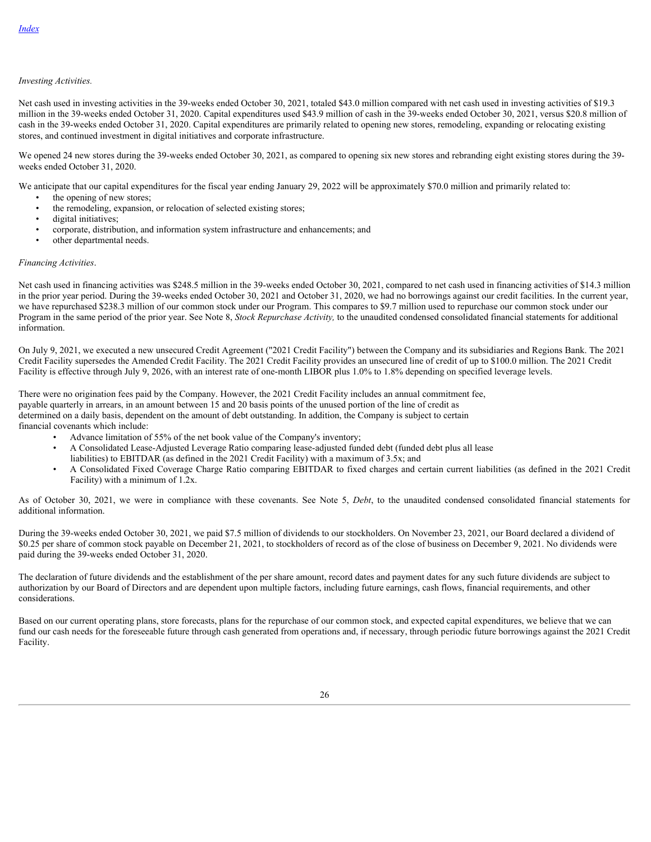## *Investing Activities.*

Net cash used in investing activities in the 39-weeks ended October 30, 2021, totaled \$43.0 million compared with net cash used in investing activities of \$19.3 million in the 39-weeks ended October 31, 2020. Capital expenditures used \$43.9 million of cash in the 39-weeks ended October 30, 2021, versus \$20.8 million of cash in the 39-weeks ended October 31, 2020. Capital expenditures are primarily related to opening new stores, remodeling, expanding or relocating existing stores, and continued investment in digital initiatives and corporate infrastructure.

We opened 24 new stores during the 39-weeks ended October 30, 2021, as compared to opening six new stores and rebranding eight existing stores during the 39weeks ended October 31, 2020.

We anticipate that our capital expenditures for the fiscal year ending January 29, 2022 will be approximately \$70.0 million and primarily related to:

- the opening of new stores;
- the remodeling, expansion, or relocation of selected existing stores;
- digital initiatives;
- corporate, distribution, and information system infrastructure and enhancements; and
- other departmental needs.

#### *Financing Activities*.

Net cash used in financing activities was \$248.5 million in the 39-weeks ended October 30, 2021, compared to net cash used in financing activities of \$14.3 million in the prior year period. During the 39-weeks ended October 30, 2021 and October 31, 2020, we had no borrowings against our credit facilities. In the current year, we have repurchased \$238.3 million of our common stock under our Program. This compares to \$9.7 million used to repurchase our common stock under our Program in the same period of the prior year. See Note 8, *Stock Repurchase Activity,* to the unaudited condensed consolidated financial statements for additional information. We comed 24 or so start and these coverants of October 30, 2021, we are<br>proportional and the unit of the seed of October 30, 2021, we provide the unit of the unit of the unit of Cole<br>
Ve an interpretation graphs experiment

On July 9, 2021, we executed a new unsecured Credit Agreement ("2021 Credit Facility") between the Company and its subsidiaries and Regions Bank. The 2021 Credit Facility supersedes the Amended Credit Facility. The 2021 Credit Facility provides an unsecured line of credit of up to \$100.0 million. The 2021 Credit Facility is effective through July 9, 2026, with an interest rate of one-month LIBOR plus 1.0% to 1.8% depending on specified leverage levels.

There were no origination fees paid by the Company. However, the 2021 Credit Facility includes an annual commitment fee, payable quarterly in arrears, in an amount between 15 and 20 basis points of the unused portion of the line of credit as determined on a daily basis, dependent on the amount of debt outstanding. In addition, the Company is subject to certain financial covenants which include: • Advance limitation of 55% of the net book value of the Company's inventory;

- 
- A Consolidated Lease-Adjusted Leverage Ratio comparing lease-adjusted funded debt (funded debt plus all lease
- liabilities) to EBITDAR (as defined in the 2021 Credit Facility) with a maximum of 3.5x; and
- A Consolidated Fixed Coverage Charge Ratio comparing EBITDAR to fixed charges and certain current liabilities (as defined in the 2021 Credit Facility) with a minimum of 1.2x.

additional information.

During the 39-weeks ended October 30, 2021, we paid \$7.5 million of dividends to our stockholders. On November 23, 2021, our Board declared a dividend of \$0.25 per share of common stock payable on December 21, 2021, to stockholders of record as of the close of business on December 9, 2021. No dividends were paid during the 39-weeks ended October 31, 2020.

The declaration of future dividends and the establishment of the per share amount, record dates and payment dates for any such future dividends are subject to authorization by our Board of Directors and are dependent upon multiple factors, including future earnings, cash flows, financial requirements, and other considerations.

Based on our current operating plans, store forecasts, plans for the repurchase of our common stock, and expected capital expenditures, we believe that we can fund our cash needs for the foreseeable future through cash generated from operations and, if necessary, through periodic future borrowings against the 2021 Credit Facility.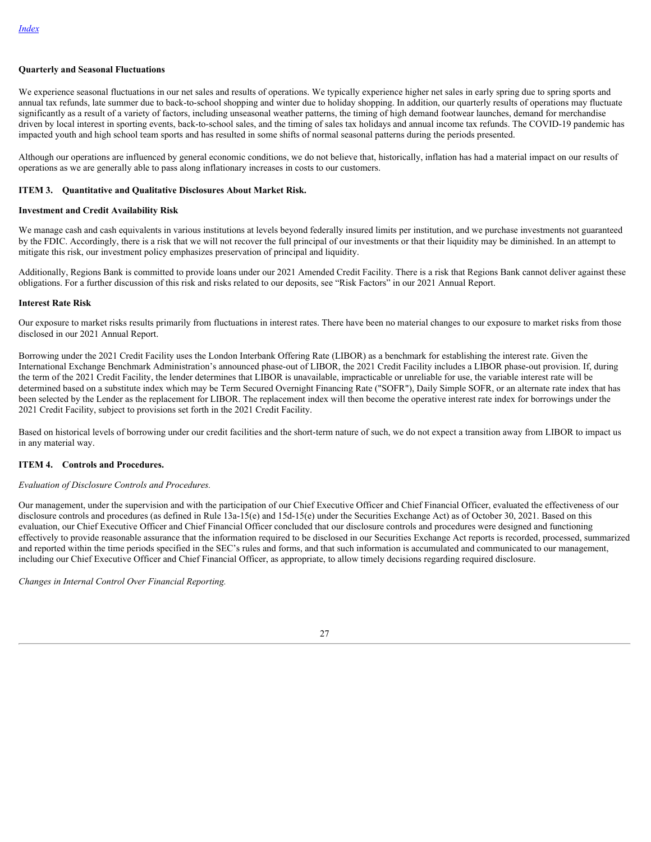## **Quarterly and Seasonal Fluctuations**

We experience seasonal fluctuations in our net sales and results of operations. We typically experience higher net sales in early spring due to spring sports and annual tax refunds, late summer due to back-to-school shopping and winter due to holiday shopping. In addition, our quarterly results of operations may fluctuate significantly as a result of a variety of factors, including unseasonal weather patterns, the timing of high demand footwear launches, demand for merchandise driven by local interest in sporting events, back-to-school sales, and the timing of sales tax holidays and annual income tax refunds. The COVID-19 pandemic has impacted youth and high school team sports and has resulted in some shifts of normal seasonal patterns during the periods presented.

Although our operations are influenced by general economic conditions, we do not believe that, historically, inflation has had a material impact on our results of operations as we are generally able to pass along inflationary increases in costs to our customers.

#### <span id="page-28-0"></span>**ITEM 3. Quantitative and Qualitative Disclosures About Market Risk.**

## **Investment and Credit Availability Risk**

We manage cash and cash equivalents in various institutions at levels beyond federally insured limits per institution, and we purchase investments not guaranteed by the FDIC. Accordingly, there is a risk that we will not recover the full principal of our investments or that their liquidity may be diminished. In an attempt to mitigate this risk, our investment policy emphasizes preservation of principal and liquidity.

Additionally, Regions Bank is committed to provide loans under our 2021 Amended Credit Facility. There is a risk that Regions Bank cannot deliver against these obligations. For a further discussion of this risk and risks related to our deposits, see "Risk Factors" in our 2021 Annual Report.

## **Interest Rate Risk**

Our exposure to market risks results primarily from fluctuations in interest rates. There have been no material changes to our exposure to market risks from those disclosed in our 2021 Annual Report.

Borrowing under the 2021 Credit Facility uses the London Interbank Offering Rate (LIBOR) as a benchmark for establishing the interest rate. Given the International Exchange Benchmark Administration's announced phase-out of LIBOR, the 2021 Credit Facility includes a LIBOR phase-out provision. If, during the term of the 2021 Credit Facility, the lender determines that LIBOR is unavailable, impracticable or unreliable for use, the variable interest rate will be determined based on a substitute index which may be Term Secured Overnight Financing Rate ("SOFR"), Daily Simple SOFR, or an alternate rate index that has been selected by the Lender as the replacement for LIBOR. The replacement index will then become the operative interest rate index for borrowings under the 2021 Credit Facility, subject to provisions set forth in the 2021 Credit Facility.

Based on historical levels of borrowing under our credit facilities and the short-term nature of such, we do not expect a transition away from LIBOR to impact us in any material way.

#### <span id="page-28-1"></span>**ITEM 4. Controls and Procedures.**

#### *Evaluation of Disclosure Controls and Procedures.*

Our management, under the supervision and with the participation of our Chief Executive Officer and Chief Financial Officer, evaluated the effectiveness of our disclosure controls and procedures (as defined in Rule 13a-15(e) and 15d-15(e) under the Securities Exchange Act) as of October 30, 2021. Based on this evaluation, our Chief Executive Officer and Chief Financial Officer concluded that our disclosure controls and procedures were designed and functioning effectively to provide reasonable assurance that the information required to be disclosed in our Securities Exchange Act reports is recorded, processed, summarized and reported within the time periods specified in the SEC's rules and forms, and that such information is accumulated and communicated to our management, including our Chief Executive Officer and Chief Financial Officer, as appropriate, to allow timely decisions regarding required disclosure.

*Changes in Internal Control Over Financial Reporting.*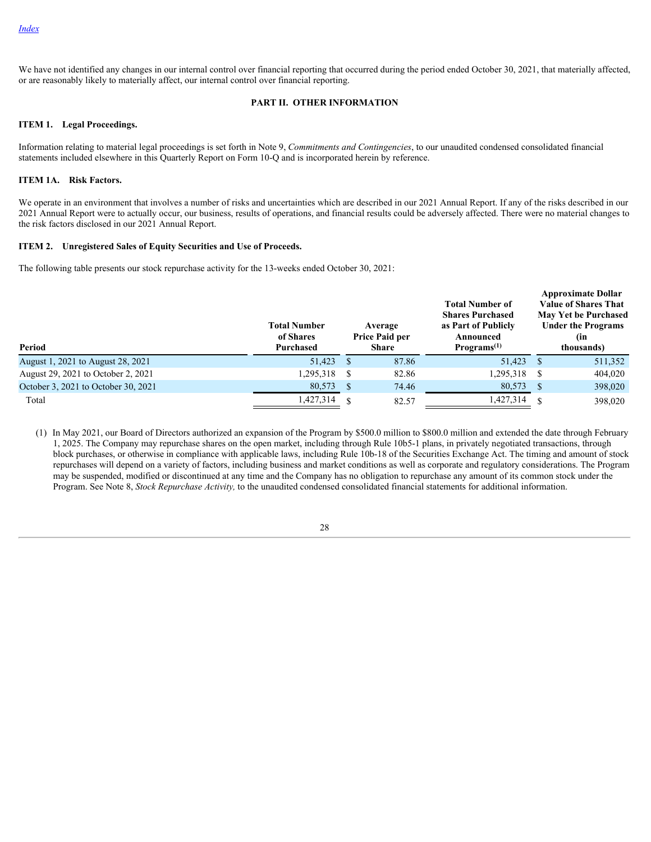We have not identified any changes in our internal control over financial reporting that occurred during the period ended October 30, 2021, that materially affected, or are reasonably likely to materially affect, our internal control over financial reporting.

## **PART II. OTHER INFORMATION**

## <span id="page-29-1"></span><span id="page-29-0"></span>**ITEM 1. Legal Proceedings.**

Information relating to material legal proceedings is set forth in Note 9, *Commitments and Contingencies*, to our unaudited condensed consolidated financial statements included elsewhere in this Quarterly Report on Form 10-Q and is incorporated herein by reference.

## <span id="page-29-2"></span>**ITEM 1A. Risk Factors.**

We operate in an environment that involves a number of risks and uncertainties which are described in our 2021 Annual Report. If any of the risks described in our 2021 Annual Report were to actually occur, our business, results of operations, and financial results could be adversely affected. There were no material changes to the risk factors disclosed in our 2021 Annual Report.

#### <span id="page-29-3"></span>**ITEM 2. Unregistered Sales of Equity Securities and Use of Proceeds.**

The following table presents our stock repurchase activity for the 13-weeks ended October 30, 2021:

| Period                              | <b>Total Number</b><br>of Shares<br>Purchased | Average<br><b>Price Paid per</b><br><b>Share</b> | <b>Total Number of</b><br><b>Shares Purchased</b><br>as Part of Publicly<br>Announced<br>Programs <sup>(1)</sup> | <b>Approximate Dollar</b><br><b>Value of Shares That</b><br><b>May Yet be Purchased</b><br><b>Under the Programs</b><br>(in<br>thousands) |
|-------------------------------------|-----------------------------------------------|--------------------------------------------------|------------------------------------------------------------------------------------------------------------------|-------------------------------------------------------------------------------------------------------------------------------------------|
| August 1, 2021 to August 28, 2021   | 51,423                                        | 87.86                                            | $51,423$ \$                                                                                                      | 511,352                                                                                                                                   |
| August 29, 2021 to October 2, 2021  | 1,295,318 \$                                  | 82.86                                            | 1,295,318 \$                                                                                                     | 404,020                                                                                                                                   |
| October 3, 2021 to October 30, 2021 | 80,573                                        | 74.46                                            | 80,573 \$                                                                                                        | 398,020                                                                                                                                   |
| Total                               | 1,427,314                                     | 82.57                                            | 1,427,314                                                                                                        | 398,020                                                                                                                                   |
|                                     |                                               |                                                  |                                                                                                                  |                                                                                                                                           |

<span id="page-29-4"></span>(1) In May 2021, our Board of Directors authorized an expansion of the Program by \$500.0 million to \$800.0 million and extended the date through February 1, 2025. The Company may repurchase shares on the open market, including through Rule 10b5-1 plans, in privately negotiated transactions, through block purchases, or otherwise in compliance with applicable laws, including Rule 10b-18 of the Securities Exchange Act. The timing and amount of stock repurchases will depend on a variety of factors, including business and market conditions as well as corporate and regulatory considerations. The Program may be suspended, modified or discontinued at any time and the Company has no obligation to repurchase any amount of its common stock under the Program. See Note 8, *Stock Repurchase Activity,* to the unaudited condensed consolidated financial statements for additional information.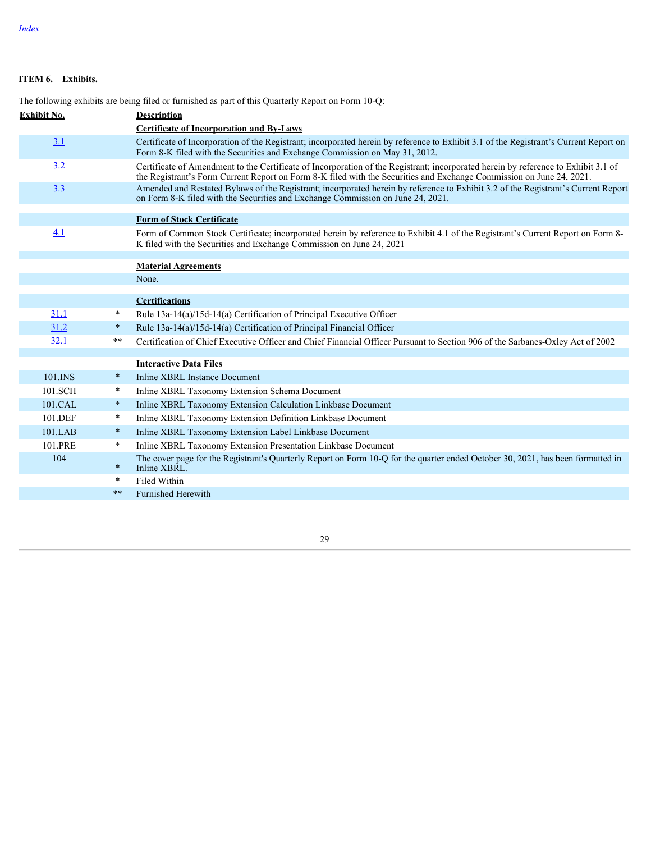## **ITEM 6. Exhibits.**

|                    |        | The following exhibits are being filed or furnished as part of this Quarterly Report on Form 10-Q:                                                                                                                                                         |  |
|--------------------|--------|------------------------------------------------------------------------------------------------------------------------------------------------------------------------------------------------------------------------------------------------------------|--|
| <b>Exhibit No.</b> |        | <b>Description</b>                                                                                                                                                                                                                                         |  |
|                    |        | <b>Certificate of Incorporation and By-Laws</b>                                                                                                                                                                                                            |  |
| 3.1                |        | Certificate of Incorporation of the Registrant; incorporated herein by reference to Exhibit 3.1 of the Registrant's Current Report on<br>Form 8-K filed with the Securities and Exchange Commission on May 31, 2012.                                       |  |
| 3.2                |        | Certificate of Amendment to the Certificate of Incorporation of the Registrant; incorporated herein by reference to Exhibit 3.1 of<br>the Registrant's Form Current Report on Form 8-K filed with the Securities and Exchange Commission on June 24, 2021. |  |
| 3.3                |        | Amended and Restated Bylaws of the Registrant; incorporated herein by reference to Exhibit 3.2 of the Registrant's Current Report<br>on Form 8-K filed with the Securities and Exchange Commission on June 24, 2021.                                       |  |
|                    |        | <b>Form of Stock Certificate</b>                                                                                                                                                                                                                           |  |
| 4.1                |        | Form of Common Stock Certificate; incorporated herein by reference to Exhibit 4.1 of the Registrant's Current Report on Form 8-<br>K filed with the Securities and Exchange Commission on June 24, 2021                                                    |  |
|                    |        | <b>Material Agreements</b>                                                                                                                                                                                                                                 |  |
|                    |        | None.                                                                                                                                                                                                                                                      |  |
|                    |        | <b>Certifications</b>                                                                                                                                                                                                                                      |  |
| 31.1               | ∗      | Rule 13a-14(a)/15d-14(a) Certification of Principal Executive Officer                                                                                                                                                                                      |  |
| 31.2               | $\ast$ | Rule 13a-14(a)/15d-14(a) Certification of Principal Financial Officer                                                                                                                                                                                      |  |
| <u>32.1</u>        | $***$  | Certification of Chief Executive Officer and Chief Financial Officer Pursuant to Section 906 of the Sarbanes-Oxley Act of 2002                                                                                                                             |  |
|                    |        | <b>Interactive Data Files</b>                                                                                                                                                                                                                              |  |
| 101.INS            |        | <b>Inline XBRL Instance Document</b>                                                                                                                                                                                                                       |  |
| 101.SCH            | $\ast$ | Inline XBRL Taxonomy Extension Schema Document                                                                                                                                                                                                             |  |
| 101.CAL            | $\ast$ | Inline XBRL Taxonomy Extension Calculation Linkbase Document                                                                                                                                                                                               |  |
| 101.DEF            | $\ast$ | Inline XBRL Taxonomy Extension Definition Linkbase Document                                                                                                                                                                                                |  |
| $101$ .LAB         | $\ast$ | Inline XBRL Taxonomy Extension Label Linkbase Document                                                                                                                                                                                                     |  |
| 101.PRE            | $\ast$ | Inline XBRL Taxonomy Extension Presentation Linkbase Document                                                                                                                                                                                              |  |
| 104                | $\ast$ | The cover page for the Registrant's Quarterly Report on Form 10-Q for the quarter ended October 30, 2021, has been formatted in<br>Inline XBRL.                                                                                                            |  |
|                    |        | Filed Within                                                                                                                                                                                                                                               |  |
|                    | $***$  | <b>Furnished Herewith</b>                                                                                                                                                                                                                                  |  |
|                    |        |                                                                                                                                                                                                                                                            |  |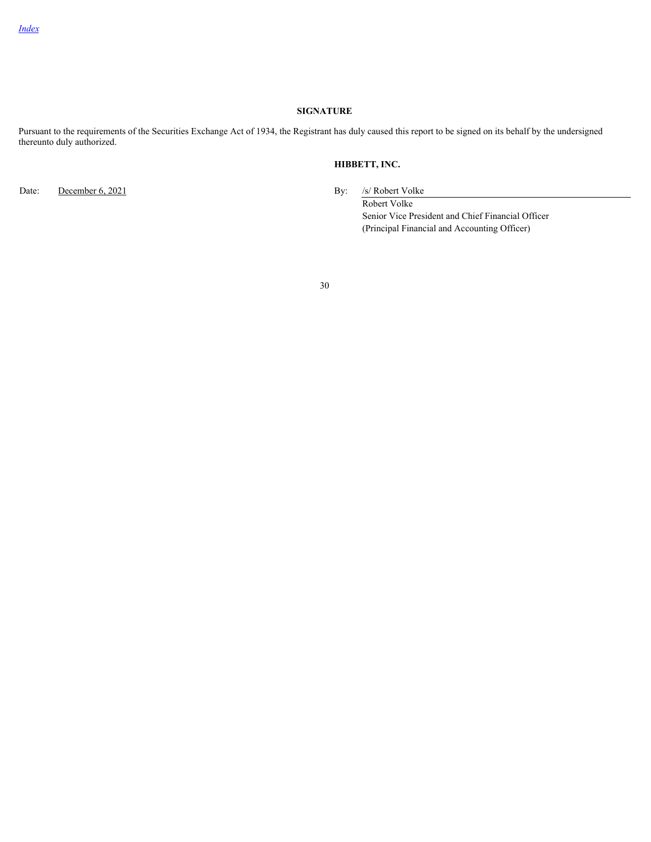# **SIGNATURE**

<span id="page-31-0"></span>Pursuant to the requirements of the Securities Exchange Act of 1934, the Registrant has duly caused this report to be signed on its behalf by the undersigned thereunto duly authorized.

# **HIBBETT, INC.**

Date: December 6, 2021 By: /s/ Robert Volke

Robert Volke Senior Vice President and Chief Financial Officer (Principal Financial and Accounting Officer)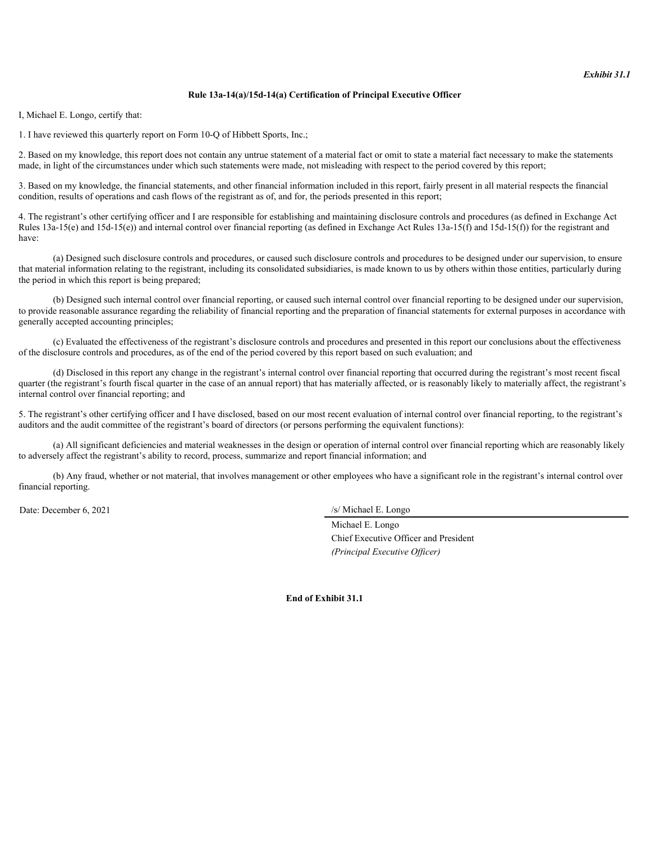## *Exhibit 31.1*

## **Rule 13a-14(a)/15d-14(a) Certification of Principal Executive Officer**

<span id="page-32-0"></span>I, Michael E. Longo, certify that:

1. I have reviewed this quarterly report on Form 10-Q of Hibbett Sports, Inc.;

2. Based on my knowledge, this report does not contain any untrue statement of a material fact or omit to state a material fact necessary to make the statements made, in light of the circumstances under which such statements were made, not misleading with respect to the period covered by this report;

3. Based on my knowledge, the financial statements, and other financial information included in this report, fairly present in all material respects the financial condition, results of operations and cash flows of the registrant as of, and for, the periods presented in this report;

4. The registrant's other certifying officer and I are responsible for establishing and maintaining disclosure controls and procedures (as defined in Exchange Act Rules 13a-15(e) and 15d-15(e)) and internal control over financial reporting (as defined in Exchange Act Rules 13a-15(f) and 15d-15(f)) for the registrant and have:

(a) Designed such disclosure controls and procedures, or caused such disclosure controls and procedures to be designed under our supervision, to ensure that material information relating to the registrant, including its consolidated subsidiaries, is made known to us by others within those entities, particularly during the period in which this report is being prepared;

(b) Designed such internal control over financial reporting, or caused such internal control over financial reporting to be designed under our supervision, to provide reasonable assurance regarding the reliability of financial reporting and the preparation of financial statements for external purposes in accordance with generally accepted accounting principles;

(c) Evaluated the effectiveness of the registrant's disclosure controls and procedures and presented in this report our conclusions about the effectiveness of the disclosure controls and procedures, as of the end of the period covered by this report based on such evaluation; and

(d) Disclosed in this report any change in the registrant's internal control over financial reporting that occurred during the registrant's most recent fiscal quarter (the registrant's fourth fiscal quarter in the case of an annual report) that has materially affected, or is reasonably likely to materially affect, the registrant's internal control over financial reporting; and

5. The registrant's other certifying officer and I have disclosed, based on our most recent evaluation of internal control over financial reporting, to the registrant's auditors and the audit committee of the registrant's board of directors (or persons performing the equivalent functions):

(a) All significant deficiencies and material weaknesses in the design or operation of internal control over financial reporting which are reasonably likely to adversely affect the registrant's ability to record, process, summarize and report financial information; and

(b) Any fraud, whether or not material, that involves management or other employees who have a significant role in the registrant's internal control over financial reporting.

Date: December 6, 2021 /s/ Michael E. Longo

Michael E. Longo Chief Executive Officer and President *(Principal Executive Officer)*

**End of Exhibit 31.1**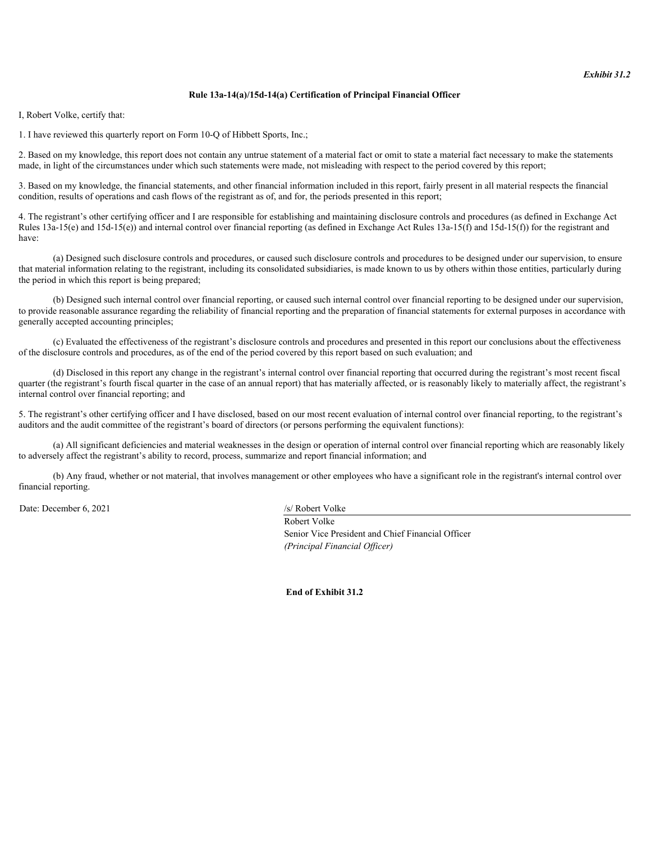## **Rule 13a-14(a)/15d-14(a) Certification of Principal Financial Officer**

<span id="page-33-0"></span>I, Robert Volke, certify that:

1. I have reviewed this quarterly report on Form 10-Q of Hibbett Sports, Inc.;

2. Based on my knowledge, this report does not contain any untrue statement of a material fact or omit to state a material fact necessary to make the statements made, in light of the circumstances under which such statements were made, not misleading with respect to the period covered by this report;

3. Based on my knowledge, the financial statements, and other financial information included in this report, fairly present in all material respects the financial condition, results of operations and cash flows of the registrant as of, and for, the periods presented in this report;

4. The registrant's other certifying officer and I are responsible for establishing and maintaining disclosure controls and procedures (as defined in Exchange Act Rules 13a-15(e) and 15d-15(e)) and internal control over financial reporting (as defined in Exchange Act Rules 13a-15(f) and 15d-15(f)) for the registrant and have:

(a) Designed such disclosure controls and procedures, or caused such disclosure controls and procedures to be designed under our supervision, to ensure that material information relating to the registrant, including its consolidated subsidiaries, is made known to us by others within those entities, particularly during the period in which this report is being prepared;

(b) Designed such internal control over financial reporting, or caused such internal control over financial reporting to be designed under our supervision, to provide reasonable assurance regarding the reliability of financial reporting and the preparation of financial statements for external purposes in accordance with generally accepted accounting principles;

(c) Evaluated the effectiveness of the registrant's disclosure controls and procedures and presented in this report our conclusions about the effectiveness of the disclosure controls and procedures, as of the end of the period covered by this report based on such evaluation; and

(d) Disclosed in this report any change in the registrant's internal control over financial reporting that occurred during the registrant's most recent fiscal quarter (the registrant's fourth fiscal quarter in the case of an annual report) that has materially affected, or is reasonably likely to materially affect, the registrant's internal control over financial reporting; and

5. The registrant's other certifying officer and I have disclosed, based on our most recent evaluation of internal control over financial reporting, to the registrant's auditors and the audit committee of the registrant's board of directors (or persons performing the equivalent functions):

(a) All significant deficiencies and material weaknesses in the design or operation of internal control over financial reporting which are reasonably likely to adversely affect the registrant's ability to record, process, summarize and report financial information; and

(b) Any fraud, whether or not material, that involves management or other employees who have a significant role in the registrant's internal control over financial reporting.

Date: December 6, 2021 /s/ Robert Volke

Robert Volke Senior Vice President and Chief Financial Officer *(Principal Financial Officer)*

**End of Exhibit 31.2**